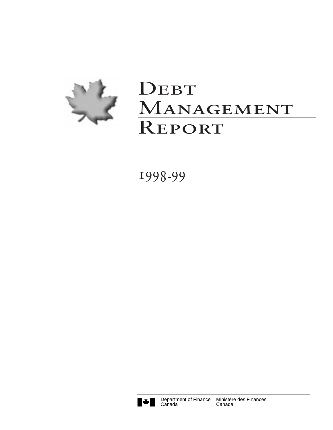

# DEBT Management Report

1998-99

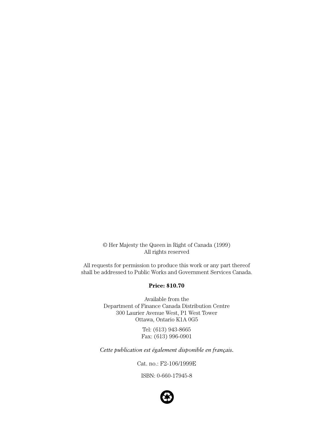© Her Majesty the Queen in Right of Canada (1999) All rights reserved

All requests for permission to produce this work or any part thereof shall be addressed to Public Works and Government Services Canada.

#### **Price: \$10.70**

Available from the Department of Finance Canada Distribution Centre 300 Laurier Avenue West, P1 West Tower Ottawa, Ontario K1A 0G5

> Tel: (613) 943-8665 Fax: (613) 996-0901

*Cette publication est également disponible en français.*

Cat. no.: F2-106/1999E

ISBN: 0-660-17945-8

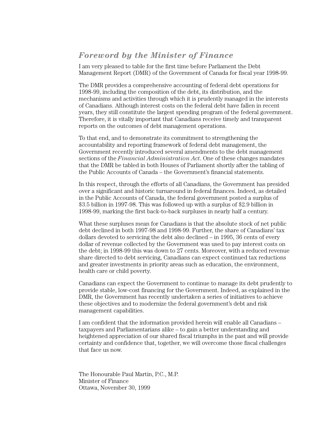## *Foreword by the Minister of Finance*

I am very pleased to table for the first time before Parliament the Debt Management Report (DMR) of the Government of Canada for fiscal year 1998-99.

The DMR provides a comprehensive accounting of federal debt operations for 1998-99, including the composition of the debt, its distribution, and the mechanisms and activities through which it is prudently managed in the interests of Canadians. Although interest costs on the federal debt have fallen in recent years, they still constitute the largest spending program of the federal government. Therefore, it is vitally important that Canadians receive timely and transparent reports on the outcomes of debt management operations.

To that end, and to demonstrate its commitment to strengthening the accountability and reporting framework of federal debt management, the Government recently introduced several amendments to the debt management sections of the *Financial Administration Act*. One of these changes mandates that the DMR be tabled in both Houses of Parliament shortly after the tabling of the Public Accounts of Canada – the Government's financial statements.

In this respect, through the efforts of all Canadians, the Government has presided over a significant and historic turnaround in federal finances. Indeed, as detailed in the Public Accounts of Canada, the federal government posted a surplus of \$3.5 billion in 1997-98. This was followed up with a surplus of \$2.9 billion in 1998-99, marking the first back-to-back surpluses in nearly half a century.

What these surpluses mean for Canadians is that the absolute stock of net public debt declined in both 1997-98 and 1998-99. Further, the share of Canadians' tax dollars devoted to servicing the debt also declined – in 1995, 36 cents of every dollar of revenue collected by the Government was used to pay interest costs on the debt; in 1998-99 this was down to 27 cents. Moreover, with a reduced revenue share directed to debt servicing, Canadians can expect continued tax reductions and greater investments in priority areas such as education, the environment, health care or child poverty.

Canadians can expect the Government to continue to manage its debt prudently to provide stable, low-cost financing for the Government. Indeed, as explained in the DMR, the Government has recently undertaken a series of initiatives to achieve these objectives and to modernize the federal government's debt and risk management capabilities.

I am confident that the information provided herein will enable all Canadians – taxpayers and Parliamentarians alike – to gain a better understanding and heightened appreciation of our shared fiscal triumphs in the past and will provide certainty and confidence that, together, we will overcome those fiscal challenges that face us now.

The Honourable Paul Martin, P.C., M.P. Minister of Finance Ottawa, November 30, 1999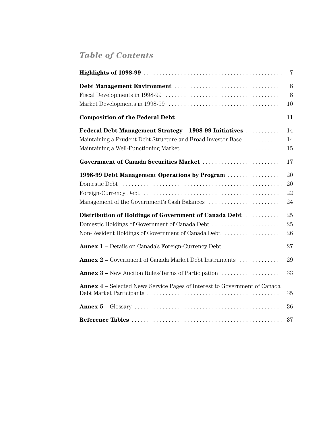## *Table of Contents*

|                                                                                                                                                               | 7                    |
|---------------------------------------------------------------------------------------------------------------------------------------------------------------|----------------------|
|                                                                                                                                                               | 8<br>8<br>10         |
|                                                                                                                                                               | 11                   |
| Federal Debt Management Strategy - 1998-99 Initiatives<br>Maintaining a Prudent Debt Structure and Broad Investor Base                                        | 14<br>14<br>15       |
| Government of Canada Securities Market                                                                                                                        | 17                   |
| 1998-99 Debt Management Operations by Program                                                                                                                 | 20<br>20<br>22<br>24 |
| Distribution of Holdings of Government of Canada Debt<br>Domestic Holdings of Government of Canada Debt<br>Non-Resident Holdings of Government of Canada Debt | 25<br>25<br>26       |
| <b>Annex 1 –</b> Details on Canada's Foreign-Currency Debt                                                                                                    | 27                   |
| Annex 2 - Government of Canada Market Debt Instruments<br><b>Annex 3 –</b> New Auction Rules/Terms of Participation                                           | 29<br>33             |
| <b>Annex 4 –</b> Selected News Service Pages of Interest to Government of Canada                                                                              | 35                   |
|                                                                                                                                                               | 36                   |
|                                                                                                                                                               | 37                   |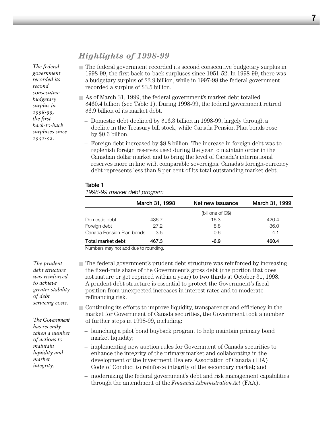## *Highlights of 1998-99*

*The federal government recorded its second consecutive budgetary surplus in 1998-99, the first back-to-back surpluses since 1951-52.* 

- The federal government recorded its second consecutive budgetary surplus in 1998-99, the first back-to-back surpluses since 1951-52. In 1998-99, there was a budgetary surplus of \$2.9 billion, while in 1997-98 the federal government recorded a surplus of \$3.5 billion.
- $\Box$  As of March 31, 1999, the federal government's market debt totalled \$460.4 billion (see Table 1). During 1998-99, the federal government retired \$6.9 billion of its market debt.
- Domestic debt declined by \$16.3 billion in 1998-99, largely through a decline in the Treasury bill stock, while Canada Pension Plan bonds rose by \$0.6 billion.
- Foreign debt increased by \$8.8 billion. The increase in foreign debt was to replenish foreign reserves used during the year to maintain order in the Canadian dollar market and to bring the level of Canada's international reserves more in line with comparable sovereigns. Canada's foreign-currency debt represents less than 8 per cent of its total outstanding market debt.

#### **Table 1**

*1998-99 market debt program*

|                           | March 31, 1998 | Net new issuance  | March 31, 1999 |
|---------------------------|----------------|-------------------|----------------|
|                           |                | (billions of C\$) |                |
| Domestic debt             | 436.7          | $-16.3$           | 420.4          |
| Foreign debt              | 27.2           | 8.8               | 36.0           |
| Canada Pension Plan bonds | 3.5            | 0.6               | 4.1            |
| Total market debt         | 467.3          | -6.9              | 460.4          |

Numbers may not add due to rounding.

*The prudent debt structure was reinforced to achieve of debt servicing costs.*

- The federal government's prudent debt structure was reinforced by increasing the fixed-rate share of the Government's gross debt (the portion that does not mature or get repriced within a year) to two thirds at October 31, 1998. A prudent debt structure is essential to protect the Government's fiscal position from unexpected increases in interest rates and to moderate refinancing risk.
- Continuing its efforts to improve liquidity, transparency and efficiency in the market for Government of Canada securities, the Government took a number of further steps in 1998-99, including:
	- launching a pilot bond buyback program to help maintain primary bond market liquidity;
	- implementing new auction rules for Government of Canada securities to enhance the integrity of the primary market and collaborating in the development of the Investment Dealers Association of Canada (IDA) Code of Conduct to reinforce integrity of the secondary market; and
	- modernizing the federal government's debt and risk management capabilities through the amendment of the *Financial Administration Act* (FAA).

*greater stability The Government*

*has recently taken a number of actions to maintain liquidity and market integrity.*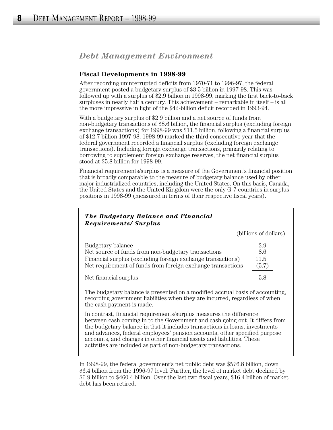## *Debt Management Environment*

#### **Fiscal Developments in 1998-99**

After recording uninterrupted deficits from 1970-71 to 1996-97, the federal government posted a budgetary surplus of \$3.5 billion in 1997-98. This was followed up with a surplus of \$2.9 billion in 1998-99, marking the first back-to-back surpluses in nearly half a century. This achievement – remarkable in itself – is all the more impressive in light of the \$42-billion deficit recorded in 1993-94.

With a budgetary surplus of \$2.9 billion and a net source of funds from non-budgetary transactions of \$8.6 billion, the financial surplus (excluding foreign exchange transactions) for 1998-99 was \$11.5 billion, following a financial surplus of \$12.7 billion 1997-98. 1998-99 marked the third consecutive year that the federal government recorded a financial surplus (excluding foreign exchange transactions). Including foreign exchange transactions, primarily relating to borrowing to supplement foreign exchange reserves, the net financial surplus stood at \$5.8 billion for 1998-99.

Financial requirements/surplus is a measure of the Government's financial position that is broadly comparable to the measure of budgetary balance used by other major industrialized countries, including the United States. On this basis, Canada, the United States and the United Kingdom were the only G-7 countries in surplus positions in 1998-99 (measured in terms of their respective fiscal years).

| The Budgetary Balance and Financial<br><b>Requirements/Surplus</b>                                                                                                                                                                                                                                                                                                                                                                                            |                             |
|---------------------------------------------------------------------------------------------------------------------------------------------------------------------------------------------------------------------------------------------------------------------------------------------------------------------------------------------------------------------------------------------------------------------------------------------------------------|-----------------------------|
|                                                                                                                                                                                                                                                                                                                                                                                                                                                               | (billions of dollars)       |
| Budgetary balance<br>Net source of funds from non-budgetary transactions<br>Financial surplus (excluding foreign exchange transactions)<br>Net requirement of funds from foreign exchange transactions                                                                                                                                                                                                                                                        | 2.9<br>8.6<br>11.5<br>(5.7) |
| Net financial surplus                                                                                                                                                                                                                                                                                                                                                                                                                                         | 5.8                         |
| The budgetary balance is presented on a modified accrual basis of accounting,<br>recording government liabilities when they are incurred, regardless of when<br>the cash payment is made.                                                                                                                                                                                                                                                                     |                             |
| In contrast, financial requirements/surplus measures the difference<br>between cash coming in to the Government and cash going out. It differs from<br>the budgetary balance in that it includes transactions in loans, investments<br>and advances, federal employees' pension accounts, other specified purpose<br>accounts, and changes in other financial assets and liabilities. These<br>activities are included as part of non-budgetary transactions. |                             |

In 1998-99, the federal government's net public debt was \$576.8 billion, down \$6.4 billion from the 1996-97 level. Further, the level of market debt declined by \$6.9 billion to \$460.4 billion. Over the last two fiscal years, \$16.4 billion of market debt has been retired.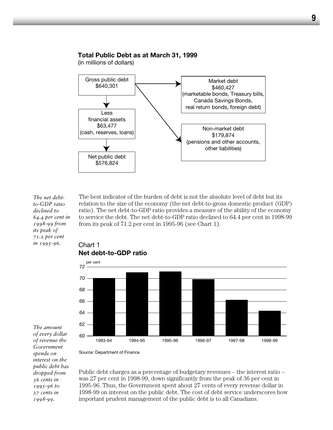#### **Total Public Debt as at March 31, 1999**

(in millions of dollars)



*The net debtto-GDP ratio declined to 64.4 per cent in 1998-99 from its peak of 71.2 per cent in 1995-96.*

The best indicator of the burden of debt is not the absolute level of debt but its relation to the size of the economy (the net debt-to-gross domestic product (GDP) ratio). The net debt-to-GDP ratio provides a measure of the ability of the economy to service the debt. The net debt-to-GDP ratio declined to 64.4 per cent in 1998-99 from its peak of 71.2 per cent in 1995-96 (see Chart 1).



Chart 1

*The amount of every dollar of revenue the Government spends on interest on the public debt has dropped from 36 cents in 1995-96 to 27 cents in 1998-99.* 

Public debt charges as a percentage of budgetary revenues – the interest ratio – was 27 per cent in 1998-99, down significantly from the peak of 36 per cent in 1995-96. Thus, the Government spent about 27 cents of every revenue dollar in 1998-99 on interest on the public debt. The cost of debt service underscores how important prudent management of the public debt is to all Canadians.

### **9**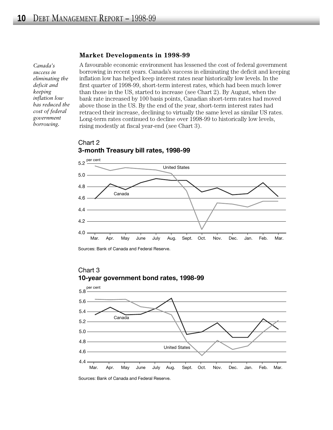#### **Market Developments in 1998-99**

*Canada's success in eliminating the deficit and keeping inflation low has reduced the cost of federal government borrowing.* 

A favourable economic environment has lessened the cost of federal government borrowing in recent years. Canada's success in eliminating the deficit and keeping inflation low has helped keep interest rates near historically low levels. In the first quarter of 1998-99, short-term interest rates, which had been much lower than those in the US, started to increase (see Chart 2). By August, when the bank rate increased by 100 basis points, Canadian short-term rates had moved above those in the US. By the end of the year, short-term interest rates had retraced their increase, declining to virtually the same level as similar US rates. Long-term rates continued to decline over 1998-99 to historically low levels, rising modestly at fiscal year-end (see Chart 3).



#### Chart 2 **3-month Treasury bill rates, 1998-99**

Sources: Bank of Canada and Federal Reserve.



## Chart 3

Sources: Bank of Canada and Federal Reserve.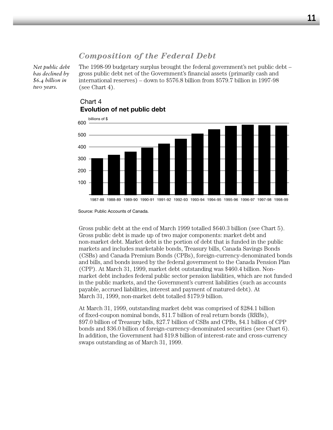## *Composition of the Federal Debt*

*Net public debt has declined by \$6.4 billion in two years.*

The 1998-99 budgetary surplus brought the federal government's net public debt – gross public debt net of the Government's financial assets (primarily cash and international reserves) – down to \$576.8 billion from \$579.7 billion in 1997-98 (see Chart 4).



## Chart 4 **Evolution of net public debt**

Gross public debt at the end of March 1999 totalled \$640.3 billion (see Chart 5). Gross public debt is made up of two major components: market debt and non-market debt. Market debt is the portion of debt that is funded in the public markets and includes marketable bonds, Treasury bills, Canada Savings Bonds (CSBs) and Canada Premium Bonds (CPBs), foreign-currency-denominated bonds and bills, and bonds issued by the federal government to the Canada Pension Plan (CPP). At March 31, 1999, market debt outstanding was \$460.4 billion. Nonmarket debt includes federal public sector pension liabilities, which are not funded in the public markets, and the Government's current liabilities (such as accounts payable, accrued liabilities, interest and payment of matured debt). At March 31, 1999, non-market debt totalled \$179.9 billion.

At March 31, 1999, outstanding market debt was comprised of \$284.1 billion of fixed-coupon nominal bonds, \$11.7 billion of real return bonds (RRBs), \$97.0 billion of Treasury bills, \$27.7 billion of CSBs and CPBs, \$4.1 billion of CPP bonds and \$36.0 billion of foreign-currency-denominated securities (see Chart 6). In addition, the Government had \$19.8 billion of interest-rate and cross-currency swaps outstanding as of March 31, 1999.

Source: Public Accounts of Canada.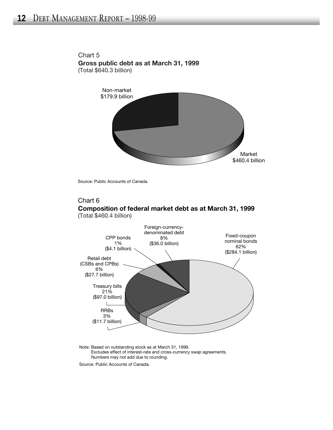

Chart 5 **Gross public debt as at March 31, 1999** (Total \$640.3 billion)

Source: Public Accounts of Canada.

#### Chart 6 **Composition of federal market debt as at March 31, 1999** (Total \$460.4 billion)



Note: Based on outstanding stock as at March 31, 1999. Excludes effect of interest-rate and cross-currency swap agreements. Numbers may not add due to rounding.

Source: Public Accounts of Canada.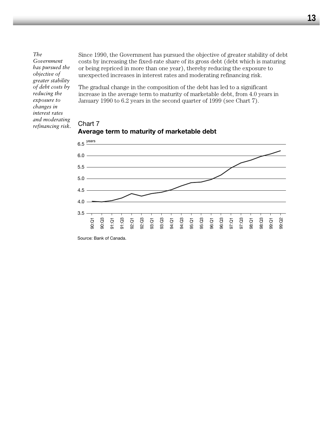*The Government has pursued the objective of greater stability of debt costs by reducing the exposure to changes in interest rates and moderating refinancing risk.*

Since 1990, the Government has pursued the objective of greater stability of debt costs by increasing the fixed-rate share of its gross debt (debt which is maturing or being repriced in more than one year), thereby reducing the exposure to unexpected increases in interest rates and moderating refinancing risk.

The gradual change in the composition of the debt has led to a significant increase in the average term to maturity of marketable debt, from 4.0 years in January 1990 to 6.2 years in the second quarter of 1999 (see Chart 7).

#### Chart 7 **Average term to maturity of marketable debt**



Source: Bank of Canada.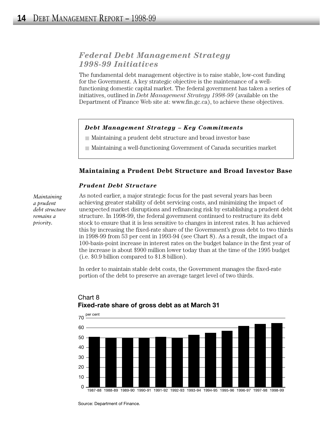## *Federal Debt Management Strategy 1998-99 Initiatives*

The fundamental debt management objective is to raise stable, low-cost funding for the Government. A key strategic objective is the maintenance of a wellfunctioning domestic capital market. The federal government has taken a series of initiatives, outlined in *Debt Management Strategy 1998-99* (available on the Department of Finance Web site at: www.fin.gc.ca), to achieve these objectives.

#### *Debt Management Strategy – Key Commitments*

- Maintaining a prudent debt structure and broad investor base
- Maintaining a well-functioning Government of Canada securities market

#### **Maintaining a Prudent Debt Structure and Broad Investor Base**

#### *Prudent Debt Structure*

*Maintaining a prudent debt structure remains a priority.*

As noted earlier, a major strategic focus for the past several years has been achieving greater stability of debt servicing costs, and minimizing the impact of unexpected market disruptions and refinancing risk by establishing a prudent debt structure. In 1998-99, the federal government continued to restructure its debt stock to ensure that it is less sensitive to changes in interest rates. It has achieved this by increasing the fixed-rate share of the Government's gross debt to two thirds in 1998-99 from 53 per cent in 1993-94 (see Chart 8). As a result, the impact of a 100-basis-point increase in interest rates on the budget balance in the first year of the increase is about \$900 million lower today than at the time of the 1995 budget (i.e. \$0.9 billion compared to \$1.8 billion).

In order to maintain stable debt costs, the Government manages the fixed-rate portion of the debt to preserve an average target level of two thirds.



## Chart 8 **Fixed-rate share of gross debt as at March 31**

Source: Department of Finance.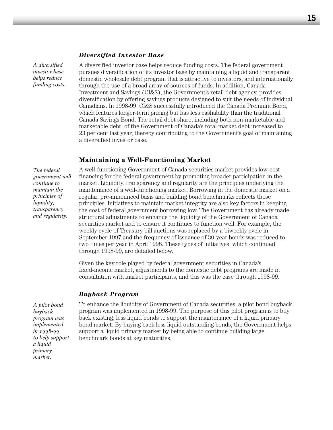#### *Diversified Investor Base*

*A diversified investor base helps reduce funding costs.*

A diversified investor base helps reduce funding costs. The federal government pursues diversification of its investor base by maintaining a liquid and transparent domestic wholesale debt program that is attractive to investors, and internationally through the use of a broad array of sources of funds. In addition, Canada Investment and Savings (CI&S), the Government's retail debt agency, provides diversification by offering savings products designed to suit the needs of individual Canadians. In 1998-99, CI&S successfully introduced the Canada Premium Bond, which features longer-term pricing but has less cashability than the traditional Canada Savings Bond. The retail debt share, including both non-marketable and marketable debt, of the Government of Canada's total market debt increased to 23 per cent last year, thereby contributing to the Government's goal of maintaining a diversified investor base.

#### **Maintaining a Well-Functioning Market**

*The federal government will continue to maintain the principles of liquidity, transparency and regularity.*

A well-functioning Government of Canada securities market provides low-cost financing for the federal government by promoting broader participation in the market. Liquidity, transparency and regularity are the principles underlying the maintenance of a well-functioning market. Borrowing in the domestic market on a regular, pre-announced basis and building bond benchmarks reflects these principles. Initiatives to maintain market integrity are also key factors in keeping the cost of federal government borrowing low. The Government has already made structural adjustments to enhance the liquidity of the Government of Canada securities market and to ensure it continues to function well. For example, the weekly cycle of Treasury bill auctions was replaced by a biweekly cycle in September 1997 and the frequency of issuance of 30-year bonds was reduced to two times per year in April 1998. These types of initiatives, which continued through 1998-99, are detailed below.

Given the key role played by federal government securities in Canada's fixed-income market, adjustments to the domestic debt programs are made in consultation with market participants, and this was the case through 1998-99.

#### *Buyback Program*

*A pilot bond buyback program was implemented in 1998-99 to help support a liquid primary market.*

To enhance the liquidity of Government of Canada securities, a pilot bond buyback program was implemented in 1998-99. The purpose of this pilot program is to buy back existing, less liquid bonds to support the maintenance of a liquid primary bond market. By buying back less liquid outstanding bonds, the Government helps support a liquid primary market by being able to continue building large benchmark bonds at key maturities.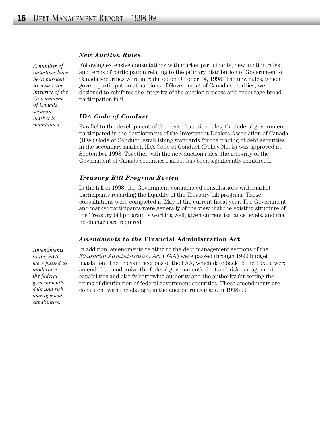#### *New Auction Rules*

*A number of initiatives have been pursued to ensure the integrity of the Government of Canada securities market is maintained.*

Following extensive consultations with market participants, new auction rules and terms of participation relating to the primary distribution of Government of Canada securities were introduced on October 14, 1998. The new rules, which govern participation at auctions of Government of Canada securities, were designed to reinforce the integrity of the auction process and encourage broad participation in it.

#### *IDA Code of Conduct*

Parallel to the development of the revised auction rules, the federal government participated in the development of the Investment Dealers Association of Canada (IDA) Code of Conduct, establishing standards for the trading of debt securities in the secondary market. IDA Code of Conduct (Policy No. 5) was approved in September 1998. Together with the new auction rules, the integrity of the Government of Canada securities market has been significantly reinforced.

#### *Treasury Bill Program Review*

In the fall of 1998, the Government commenced consultations with market participants regarding the liquidity of the Treasury bill program. These consultations were completed in May of the current fiscal year. The Government and market participants were generally of the view that the existing structure of the Treasury bill program is working well, given current issuance levels, and that no changes are required.

#### *Amendments to the* **Financial Administration Act**

*Amendments to the FAA were passed to modernize the federal government's debt and risk management capabilities.*

In addition, amendments relating to the debt management sections of the *Financial Administration Act* (FAA) were passed through 1999 budget legislation. The relevant sections of the FAA, which date back to the 1950s, were amended to modernize the federal government's debt and risk management capabilities and clarify borrowing authority and the authority for setting the terms of distribution of federal government securities. These amendments are consistent with the changes in the auction rules made in 1998-99.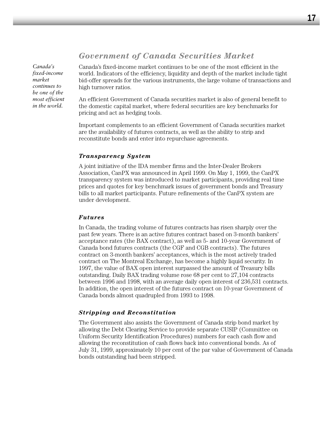## *Government of Canada Securities Market*

*Canada's fixed-income market continues to be one of the most efficient in the world.*

Canada's fixed-income market continues to be one of the most efficient in the world. Indicators of the efficiency, liquidity and depth of the market include tight bid-offer spreads for the various instruments, the large volume of transactions and high turnover ratios.

An efficient Government of Canada securities market is also of general benefit to the domestic capital market, where federal securities are key benchmarks for pricing and act as hedging tools.

Important complements to an efficient Government of Canada securities market are the availability of futures contracts, as well as the ability to strip and reconstitute bonds and enter into repurchase agreements.

#### *Transparency System*

A joint initiative of the IDA member firms and the Inter-Dealer Brokers Association, CanPX was announced in April 1999. On May 1, 1999, the CanPX transparency system was introduced to market participants, providing real time prices and quotes for key benchmark issues of government bonds and Treasury bills to all market participants. Future refinements of the CanPX system are under development.

#### *Futures*

In Canada, the trading volume of futures contracts has risen sharply over the past few years. There is an active futures contract based on 3-month bankers' acceptance rates (the BAX contract), as well as 5- and 10-year Government of Canada bond futures contracts (the CGF and CGB contracts). The futures contract on 3-month bankers' acceptances, which is the most actively traded contract on The Montreal Exchange, has become a highly liquid security. In 1997, the value of BAX open interest surpassed the amount of Treasury bills outstanding. Daily BAX trading volume rose 68 per cent to 27,104 contracts between 1996 and 1998, with an average daily open interest of 236,531 contracts. In addition, the open interest of the futures contract on 10-year Government of Canada bonds almost quadrupled from 1993 to 1998.

#### *Stripping and Reconstitution*

The Government also assists the Government of Canada strip bond market by allowing the Debt Clearing Service to provide separate CUSIP (Committee on Uniform Security Identification Procedures) numbers for each cash flow and allowing the reconstitution of cash flows back into conventional bonds. As of July 31, 1999, approximately 10 per cent of the par value of Government of Canada bonds outstanding had been stripped.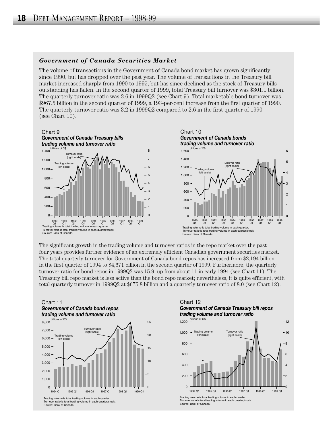#### *Government of Canada Securities Market*

The volume of transactions in the Government of Canada bond market has grown significantly since 1990, but has dropped over the past year. The volume of transactions in the Treasury bill market increased sharply from 1990 to 1995, but has since declined as the stock of Treasury bills outstanding has fallen. In the second quarter of 1999, total Treasury bill turnover was \$301.1 billion. The quarterly turnover ratio was 3.6 in 1999Q2 (see Chart 9). Total marketable bond turnover was \$967.5 billion in the second quarter of 1999, a 193-per-cent increase from the first quarter of 1990. The quarterly turnover ratio was 3.2 in 1999Q2 compared to 2.6 in the first quarter of 1990 (see Chart 10).



The significant growth in the trading volume and turnover ratios in the repo market over the past four years provides further evidence of an extremely efficient Canadian government securities market. The total quarterly turnover for Government of Canada bond repos has increased from \$2,194 billion in the first quarter of 1994 to \$4,671 billion in the second quarter of 1999. Furthermore, the quarterly turnover ratio for bond repos in 1999Q2 was 15.9, up from about 11 in early 1994 (see Chart 11). The Treasury bill repo market is less active than the bond repo market; nevertheless, it is quite efficient, with total quarterly turnover in 1999Q2 at \$675.8 billion and a quarterly turnover ratio of 8.0 (see Chart 12).





Turnover ratio is total trading volume in each quarter/stock. Source: Bank of Canada.





Source: Bank of Canada.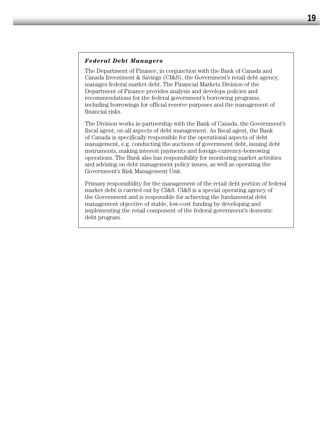#### *Federal Debt Managers*

The Department of Finance, in conjunction with the Bank of Canada and Canada Investment & Savings (CI&S), the Government's retail debt agency, manages federal market debt. The Financial Markets Division of the Department of Finance provides analysis and develops policies and recommendations for the federal government's borrowing programs, including borrowings for official reserve purposes and the management of financial risks.

The Division works in partnership with the Bank of Canada, the Government's fiscal agent, on all aspects of debt management. As fiscal agent, the Bank of Canada is specifically responsible for the operational aspects of debt management, e.g. conducting the auctions of government debt, issuing debt instruments, making interest payments and foreign-currency-borrowing operations. The Bank also has responsibility for monitoring market activities and advising on debt management policy issues, as well as operating the Government's Risk Management Unit.

Primary responsibility for the management of the retail debt portion of federal market debt is carried out by CI&S. CI&S is a special operating agency of the Government and is responsible for achieving the fundamental debt management objective of stable, low-cost funding by developing and implementing the retail component of the federal government's domestic debt program.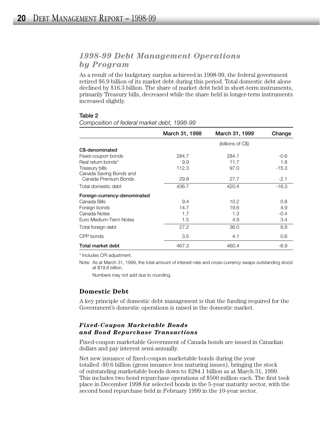## *1998-99 Debt Management Operations by Program*

As a result of the budgetary surplus achieved in 1998-99, the federal government retired \$6.9 billion of its market debt during this period. Total domestic debt alone declined by \$16.3 billion. The share of market debt held in short-term instruments, primarily Treasury bills, decreased while the share held in longer-term instruments increased slightly.

#### **Table 2**

**March 31, 1998 March 31, 1999 Change** (billions of C\$) **C\$-denominated** Fixed-coupon bonds 284.7 284.1 -0.6 Real return bonds\* 9.9 11.7 1.8 Treasury bills 112.3 97.0 -15.3 Canada Saving Bonds and Canada Premium Bonds 29.8 27.7 2.1 Total domestic debt 16.3 and 16.7 420.4 16.3 **Foreign-currency-denominated** Canada Bills 9.4 10.2 0.8 Foreign bonds 14.7 19.6 4.9 Canada Notes 1.7 1.3 -0.4 Euro Medium-Term Notes **1.5** 1.5 4.9 4.9 3.4 Total foreign debt  $27.2$   $36.0$   $8.8$  $CPP$  bonds  $3.5$   $4.1$   $0.6$ **Total market debt** 467.3 460.4 -6.9

*Composition of federal market debt, 1998-99* 

\* Includes CPI adjustment.

Note: As at March 31, 1999, the total amount of interest-rate and cross-currency swaps outstanding stood at \$19.8 billion.

Numbers may not add due to rounding.

#### **Domestic Debt**

A key principle of domestic debt management is that the funding required for the Government's domestic operations is raised in the domestic market.

#### *Fixed-Coupon Marketable Bonds and Bond Repurchase Transactions*

Fixed-coupon marketable Government of Canada bonds are issued in Canadian dollars and pay interest semi-annually.

Net new issuance of fixed-coupon marketable bonds during the year totalled -\$0.6 billion (gross issuance less maturing issues), bringing the stock of outstanding marketable bonds down to \$284.1 billion as at March 31, 1999. This includes two bond repurchase operations of \$500 million each. The first took place in December 1998 for selected bonds in the 5-year maturity sector, with the second bond repurchase held in February 1999 in the 10-year sector.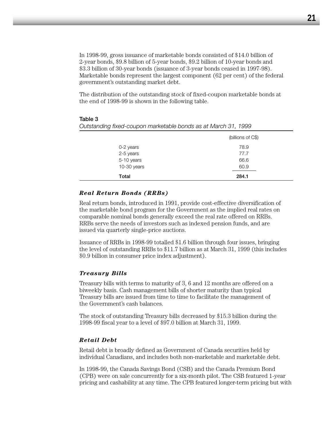In 1998-99, gross issuance of marketable bonds consisted of \$14.0 billion of 2-year bonds, \$9.8 billion of 5-year bonds, \$9.2 billion of 10-year bonds and \$3.3 billion of 30-year bonds (issuance of 3-year bonds ceased in 1997-98). Marketable bonds represent the largest component (62 per cent) of the federal government's outstanding market debt.

The distribution of the outstanding stock of fixed-coupon marketable bonds at the end of 1998-99 is shown in the following table.

| 60.9                                                           |  |
|----------------------------------------------------------------|--|
|                                                                |  |
| 66.6                                                           |  |
| 77.7                                                           |  |
| 78.9                                                           |  |
| (billions of C\$)                                              |  |
| Outstanding fixed-coupon marketable bonds as at March 31, 1999 |  |
|                                                                |  |

#### **Table 3**

|  | <b>Real Return Bonds (RRBs)</b> |  |  |
|--|---------------------------------|--|--|
|--|---------------------------------|--|--|

Real return bonds, introduced in 1991, provide cost-effective diversification of the marketable bond program for the Government as the implied real rates on comparable nominal bonds generally exceed the real rate offered on RRBs. RRBs serve the needs of investors such as indexed pension funds, and are issued via quarterly single-price auctions.

Issuance of RRBs in 1998-99 totalled \$1.6 billion through four issues, bringing the level of outstanding RRBs to \$11.7 billion as at March 31, 1999 (this includes \$0.9 billion in consumer price index adjustment).

#### *Treasury Bills*

Treasury bills with terms to maturity of 3, 6 and 12 months are offered on a biweekly basis. Cash management bills of shorter maturity than typical Treasury bills are issued from time to time to facilitate the management of the Government's cash balances.

The stock of outstanding Treasury bills decreased by \$15.3 billion during the 1998-99 fiscal year to a level of \$97.0 billion at March 31, 1999.

#### *Retail Debt*

Retail debt is broadly defined as Government of Canada securities held by individual Canadians, and includes both non-marketable and marketable debt.

In 1998-99, the Canada Savings Bond (CSB) and the Canada Premium Bond (CPB) were on sale concurrently for a six-month pilot. The CSB featured 1-year pricing and cashability at any time. The CPB featured longer-term pricing but with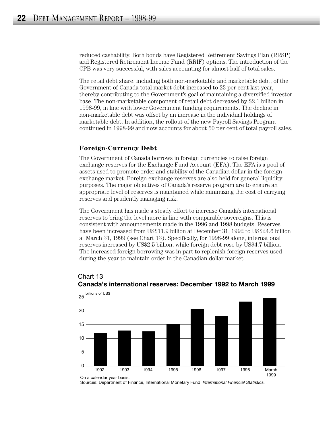reduced cashability. Both bonds have Registered Retirement Savings Plan (RRSP) and Registered Retirement Income Fund (RRIF) options. The introduction of the CPB was very successful, with sales accounting for almost half of total sales.

The retail debt share, including both non-marketable and marketable debt, of the Government of Canada total market debt increased to 23 per cent last year, thereby contributing to the Government's goal of maintaining a diversified investor base. The non-marketable component of retail debt decreased by \$2.1 billion in 1998-99, in line with lower Government funding requirements. The decline in non-marketable debt was offset by an increase in the individual holdings of marketable debt. In addition, the rollout of the new Payroll Savings Program continued in 1998-99 and now accounts for about 50 per cent of total payroll sales.

#### **Foreign-Currency Debt**

The Government of Canada borrows in foreign currencies to raise foreign exchange reserves for the Exchange Fund Account (EFA). The EFA is a pool of assets used to promote order and stability of the Canadian dollar in the foreign exchange market. Foreign exchange reserves are also held for general liquidity purposes. The major objectives of Canada's reserve program are to ensure an appropriate level of reserves is maintained while minimizing the cost of carrying reserves and prudently managing risk.

The Government has made a steady effort to increase Canada's international reserves to bring the level more in line with comparable sovereigns. This is consistent with announcements made in the 1996 and 1998 budgets. Reserves have been increased from US\$11.9 billion at December 31, 1992 to US\$24.6 billion at March 31, 1999 (see Chart 13). Specifically, for 1998-99 alone, international reserves increased by US\$2.5 billion, while foreign debt rose by US\$4.7 billion. The increased foreign borrowing was in part to replenish foreign reserves used during the year to maintain order in the Canadian dollar market.



#### Chart 13 **Canada's international reserves: December 1992 to March 1999**

Sources: Department of Finance, International Monetary Fund, *International Financial Statistics.*

On a calendar year basis.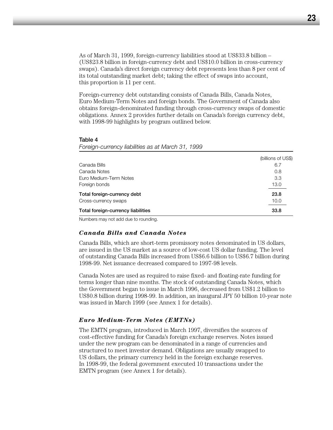As of March 31, 1999, foreign-currency liabilities stood at US\$33.8 billion – (US\$23.8 billion in foreign-currency debt and US\$10.0 billion in cross-currency swaps). Canada's direct foreign currency debt represents less than 8 per cent of its total outstanding market debt; taking the effect of swaps into account, this proportion is 11 per cent.

Foreign-currency debt outstanding consists of Canada Bills, Canada Notes, Euro Medium-Term Notes and foreign bonds. The Government of Canada also obtains foreign-denominated funding through cross-currency swaps of domestic obligations. Annex 2 provides further details on Canada's foreign currency debt, with 1998-99 highlights by program outlined below.

#### **Table 4**

*Foreign-currency liabilities as at March 31, 1999*

|                                    | (billions of US\$) |
|------------------------------------|--------------------|
| Canada Bills                       | 6.7                |
| Canada Notes                       | 0.8                |
| Euro Medium-Term Notes             | 3.3                |
| Foreign bonds                      | 13.0               |
| Total foreign-currency debt        | 23.8               |
| Cross-currency swaps               | 10.0               |
| Total foreign-currency liabilities | 33.8               |

Numbers may not add due to rounding.

#### *Canada Bills and Canada Notes*

Canada Bills, which are short-term promissory notes denominated in US dollars, are issued in the US market as a source of low-cost US dollar funding. The level of outstanding Canada Bills increased from US\$6.6 billion to US\$6.7 billion during 1998-99. Net issuance decreased compared to 1997-98 levels.

Canada Notes are used as required to raise fixed- and floating-rate funding for terms longer than nine months. The stock of outstanding Canada Notes, which the Government began to issue in March 1996, decreased from US\$1.2 billion to US\$0.8 billion during 1998-99. In addition, an inaugural JPY 50 billion 10-year note was issued in March 1999 (see Annex 1 for details).

#### *Euro Medium-Term Notes (EMTNs)*

The EMTN program, introduced in March 1997, diversifies the sources of cost-effective funding for Canada's foreign exchange reserves. Notes issued under the new program can be denominated in a range of currencies and structured to meet investor demand. Obligations are usually swapped to US dollars, the primary currency held in the foreign exchange reserves. In 1998-99, the federal government executed 10 transactions under the EMTN program (see Annex 1 for details).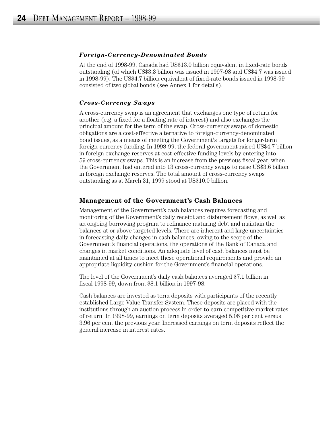#### *Foreign-Currency-Denominated Bonds*

At the end of 1998-99, Canada had US\$13.0 billion equivalent in fixed-rate bonds outstanding (of which US\$3.3 billion was issued in 1997-98 and US\$4.7 was issued in 1998-99). The US\$4.7 billion equivalent of fixed-rate bonds issued in 1998-99 consisted of two global bonds (see Annex 1 for details).

#### *Cross-Currency Swaps*

A cross-currency swap is an agreement that exchanges one type of return for another (e.g. a fixed for a floating rate of interest) and also exchanges the principal amount for the term of the swap. Cross-currency swaps of domestic obligations are a cost-effective alternative to foreign-currency-denominated bond issues, as a means of meeting the Government's targets for longer-term foreign-currency funding. In 1998-99, the federal government raised US\$4.7 billion in foreign exchange reserves at cost-effective funding levels by entering into 59 cross-currency swaps. This is an increase from the previous fiscal year, when the Government had entered into 13 cross-currency swaps to raise US\$3.6 billion in foreign exchange reserves. The total amount of cross-currency swaps outstanding as at March 31, 1999 stood at US\$10.0 billion.

#### **Management of the Government's Cash Balances**

Management of the Government's cash balances requires forecasting and monitoring of the Government's daily receipt and disbursement flows, as well as an ongoing borrowing program to refinance maturing debt and maintain the balances at or above targeted levels. There are inherent and large uncertainties in forecasting daily changes in cash balances, owing to the scope of the Government's financial operations, the operations of the Bank of Canada and changes in market conditions. An adequate level of cash balances must be maintained at all times to meet these operational requirements and provide an appropriate liquidity cushion for the Government's financial operations.

The level of the Government's daily cash balances averaged \$7.1 billion in fiscal 1998-99, down from \$8.1 billion in 1997-98.

Cash balances are invested as term deposits with participants of the recently established Large Value Transfer System. These deposits are placed with the institutions through an auction process in order to earn competitive market rates of return. In 1998-99, earnings on term deposits averaged 5.06 per cent versus 3.96 per cent the previous year. Increased earnings on term deposits reflect the general increase in interest rates.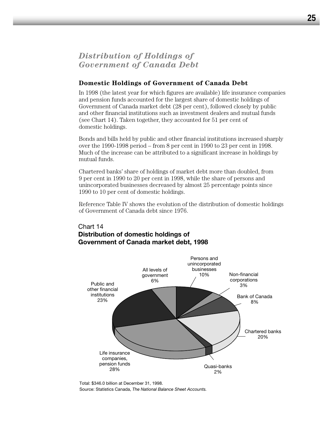## *Distribution of Holdings of Government of Canada Debt*

#### **Domestic Holdings of Government of Canada Debt**

In 1998 (the latest year for which figures are available) life insurance companies and pension funds accounted for the largest share of domestic holdings of Government of Canada market debt (28 per cent), followed closely by public and other financial institutions such as investment dealers and mutual funds (see Chart 14). Taken together, they accounted for 51 per cent of domestic holdings.

Bonds and bills held by public and other financial institutions increased sharply over the 1990-1998 period – from 8 per cent in 1990 to 23 per cent in 1998. Much of the increase can be attributed to a significant increase in holdings by mutual funds.

Chartered banks' share of holdings of market debt more than doubled, from 9 per cent in 1990 to 20 per cent in 1998, while the share of persons and unincorporated businesses decreased by almost 25 percentage points since 1990 to 10 per cent of domestic holdings.

Reference Table IV shows the evolution of the distribution of domestic holdings of Government of Canada debt since 1976.

### Chart 14 **Distribution of domestic holdings of Government of Canada market debt, 1998**



Source: Statistics Canada, *The National Balance Sheet Accounts.* Total: \$346.0 billion at December 31, 1998.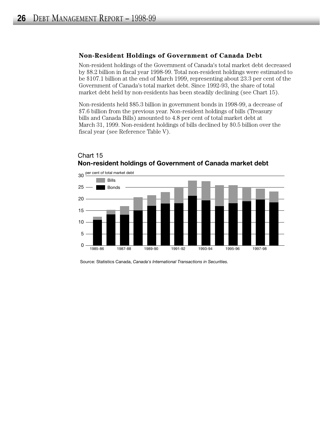#### **Non-Resident Holdings of Government of Canada Debt**

Non-resident holdings of the Government of Canada's total market debt decreased by \$8.2 billion in fiscal year 1998-99. Total non-resident holdings were estimated to be \$107.1 billion at the end of March 1999, representing about 23.3 per cent of the Government of Canada's total market debt. Since 1992-93, the share of total market debt held by non-residents has been steadily declining (see Chart 15).

Non-residents held \$85.3 billion in government bonds in 1998-99, a decrease of \$7.6 billion from the previous year. Non-resident holdings of bills (Treasury bills and Canada Bills) amounted to 4.8 per cent of total market debt at March 31, 1999. Non-resident holdings of bills declined by \$0.5 billion over the fiscal year (see Reference Table V).



## Chart 15 **Non-resident holdings of Government of Canada market debt**

Source: Statistics Canada, *Canada's International Transactions in Securities.*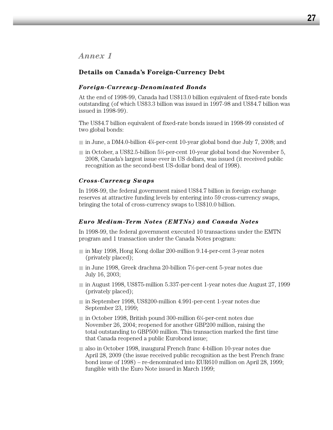*Annex 1*

#### **Details on Canada's Foreign-Currency Debt**

#### *Foreign-Currency-Denominated Bonds*

At the end of 1998-99, Canada had US\$13.0 billion equivalent of fixed-rate bonds outstanding (of which US\$3.3 billion was issued in 1997-98 and US\$4.7 billion was issued in 1998-99).

The US\$4.7 billion equivalent of fixed-rate bonds issued in 1998-99 consisted of two global bonds:

- in June, a DM4.0-billion 4%-per-cent 10-year global bond due July 7, 2008; and
- in October, a US\$2.5-billion 5¼-per-cent 10-year global bond due November 5, 2008, Canada's largest issue ever in US dollars, was issued (it received public recognition as the second-best US-dollar bond deal of 1998).

#### *Cross-Currency Swaps*

In 1998-99, the federal government raised US\$4.7 billion in foreign exchange reserves at attractive funding levels by entering into 59 cross-currency swaps, bringing the total of cross-currency swaps to US\$10.0 billion.

#### *Euro Medium-Term Notes (EMTNs) and Canada Notes*

In 1998-99, the federal government executed 10 transactions under the EMTN program and 1 transaction under the Canada Notes program:

- in May 1998, Hong Kong dollar 200-million 9.14-per-cent 3-year notes (privately placed);
- in June 1998, Greek drachma 20-billion 7½-per-cent 5-year notes due July 16, 2003;
- in August 1998, US\$75-million 5.337-per-cent 1-year notes due August 27, 1999 (privately placed);
- in September 1998, US\$200-million 4.991-per-cent 1-year notes due September 23, 1999;
- in October 1998, British pound 300-million 6¼-per-cent notes due November 26, 2004; reopened for another GBP200 million, raising the total outstanding to GBP500 million. This transaction marked the first time that Canada reopened a public Eurobond issue;
- also in October 1998, inaugural French franc 4-billion 10-year notes due April 28, 2009 (the issue received public recognition as the best French franc bond issue of 1998) – re-denominated into EUR610 million on April 28, 1999; fungible with the Euro Note issued in March 1999;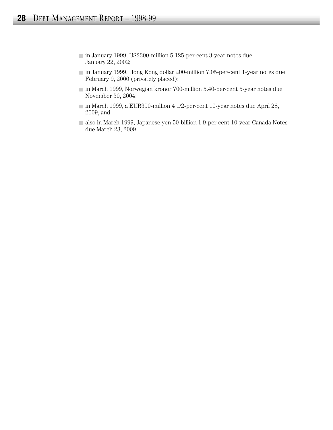- in January 1999, US\$300-million 5.125-per-cent 3-year notes due January 22, 2002;
- in January 1999, Hong Kong dollar 200-million 7.05-per-cent 1-year notes due February 9, 2000 (privately placed);
- in March 1999, Norwegian kronor 700-million 5.40-per-cent 5-year notes due November 30, 2004;
- in March 1999, a EUR390-million 4 1/2-per-cent 10-year notes due April 28, 2009; and
- also in March 1999, Japanese yen 50-billion 1.9-per-cent 10-year Canada Notes due March 23, 2009.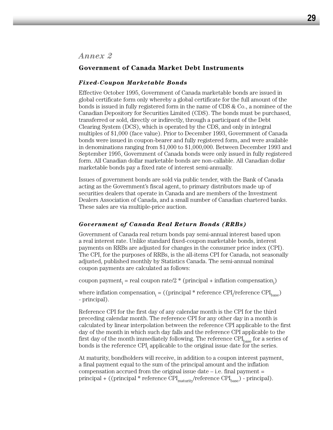### *Annex 2*

#### **Government of Canada Market Debt Instruments**

#### *Fixed-Coupon Marketable Bonds*

Effective October 1995, Government of Canada marketable bonds are issued in global certificate form only whereby a global certificate for the full amount of the bonds is issued in fully registered form in the name of CDS & Co., a nominee of the Canadian Depository for Securities Limited (CDS). The bonds must be purchased, transferred or sold, directly or indirectly, through a participant of the Debt Clearing System (DCS), which is operated by the CDS, and only in integral multiples of \$1,000 (face value). Prior to December 1993, Government of Canada bonds were issued in coupon-bearer and fully registered form, and were available in denominations ranging from \$1,000 to \$1,000,000. Between December 1993 and September 1995, Government of Canada bonds were only issued in fully registered form. All Canadian dollar marketable bonds are non-callable. All Canadian dollar marketable bonds pay a fixed rate of interest semi-annually.

Issues of government bonds are sold via public tender, with the Bank of Canada acting as the Government's fiscal agent, to primary distributors made up of securities dealers that operate in Canada and are members of the Investment Dealers Association of Canada, and a small number of Canadian chartered banks. These sales are via multiple-price auction.

#### *Government of Canada Real Return Bonds (RRBs)*

Government of Canada real return bonds pay semi-annual interest based upon a real interest rate. Unlike standard fixed-coupon marketable bonds, interest payments on RRBs are adjusted for changes in the consumer price index (CPI). The CPI, for the purposes of RRBs, is the all-items CPI for Canada, not seasonally adjusted, published monthly by Statistics Canada. The semi-annual nominal coupon payments are calculated as follows:

coupon payment<sub>i</sub> = real coupon rate/2  $*$  (principal + inflation compensation<sub>i</sub>)

where inflation compensation<sub>i</sub> = ((principal \* reference CPI<sub>i</sub>/reference CPI<sub>base</sub>) - principal).

Reference CPI for the first day of any calendar month is the CPI for the third preceding calendar month. The reference CPI for any other day in a month is calculated by linear interpolation between the reference CPI applicable to the first day of the month in which such day falls and the reference CPI applicable to the first day of the month immediately following. The reference  $\text{CPI}_{\text{base}}$  for a series of bonds is the reference CPI, applicable to the original issue date for the series.

At maturity, bondholders will receive, in addition to a coupon interest payment, a final payment equal to the sum of the principal amount and the inflation compensation accrued from the original issue date  $-$  i.e. final payment  $=$ principal + ((principal \* reference  $\text{CPI}_{\text{matrix}}/\text{reference } \text{CPI}_{\text{base}}$ ) - principal).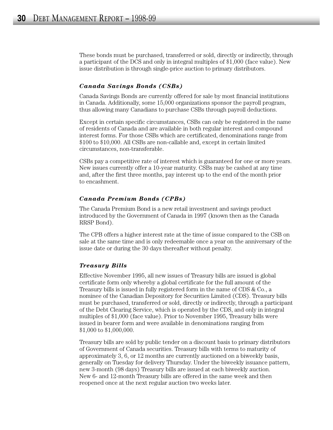These bonds must be purchased, transferred or sold, directly or indirectly, through a participant of the DCS and only in integral multiples of \$1,000 (face value). New issue distribution is through single-price auction to primary distributors.

#### *Canada Savings Bonds (CSBs)*

Canada Savings Bonds are currently offered for sale by most financial institutions in Canada. Additionally, some 15,000 organizations sponsor the payroll program, thus allowing many Canadians to purchase CSBs through payroll deductions.

Except in certain specific circumstances, CSBs can only be registered in the name of residents of Canada and are available in both regular interest and compound interest forms. For those CSBs which are certificated, denominations range from \$100 to \$10,000. All CSBs are non-callable and, except in certain limited circumstances, non-transferable.

CSBs pay a competitive rate of interest which is guaranteed for one or more years. New issues currently offer a 10-year maturity. CSBs may be cashed at any time and, after the first three months, pay interest up to the end of the month prior to encashment.

#### *Canada Premium Bonds (CPBs)*

The Canada Premium Bond is a new retail investment and savings product introduced by the Government of Canada in 1997 (known then as the Canada RRSP Bond).

The CPB offers a higher interest rate at the time of issue compared to the CSB on sale at the same time and is only redeemable once a year on the anniversary of the issue date or during the 30 days thereafter without penalty.

#### *Treasury Bills*

Effective November 1995, all new issues of Treasury bills are issued is global certificate form only whereby a global certificate for the full amount of the Treasury bills is issued in fully registered form in the name of CDS & Co., a nominee of the Canadian Depository for Securities Limited (CDS). Treasury bills must be purchased, transferred or sold, directly or indirectly, through a participant of the Debt Clearing Service, which is operated by the CDS, and only in integral multiples of \$1,000 (face value). Prior to November 1995, Treasury bills were issued in bearer form and were available in denominations ranging from \$1,000 to \$1,000,000.

Treasury bills are sold by public tender on a discount basis to primary distributors of Government of Canada securities. Treasury bills with terms to maturity of approximately 3, 6, or 12 months are currently auctioned on a biweekly basis, generally on Tuesday for delivery Thursday. Under the biweekly issuance pattern, new 3-month (98 days) Treasury bills are issued at each biweekly auction. New 6- and 12-month Treasury bills are offered in the same week and then reopened once at the next regular auction two weeks later.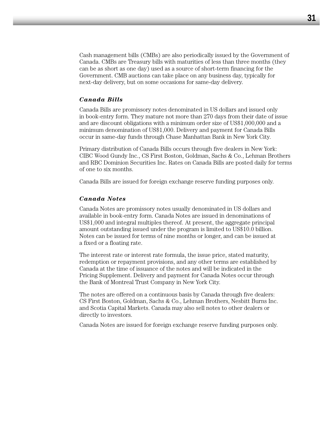Cash management bills (CMBs) are also periodically issued by the Government of Canada. CMBs are Treasury bills with maturities of less than three months (they can be as short as one day) used as a source of short-term financing for the Government. CMB auctions can take place on any business day, typically for next-day delivery, but on some occasions for same-day delivery.

#### *Canada Bills*

Canada Bills are promissory notes denominated in US dollars and issued only in book-entry form. They mature not more than 270 days from their date of issue and are discount obligations with a minimum order size of US\$1,000,000 and a minimum denomination of US\$1,000. Delivery and payment for Canada Bills occur in same-day funds through Chase Manhattan Bank in New York City.

Primary distribution of Canada Bills occurs through five dealers in New York: CIBC Wood Gundy Inc., CS First Boston, Goldman, Sachs & Co., Lehman Brothers and RBC Dominion Securities Inc. Rates on Canada Bills are posted daily for terms of one to six months.

Canada Bills are issued for foreign exchange reserve funding purposes only.

#### *Canada Notes*

Canada Notes are promissory notes usually denominated in US dollars and available in book-entry form. Canada Notes are issued in denominations of US\$1,000 and integral multiples thereof. At present, the aggregate principal amount outstanding issued under the program is limited to US\$10.0 billion. Notes can be issued for terms of nine months or longer, and can be issued at a fixed or a floating rate.

The interest rate or interest rate formula, the issue price, stated maturity, redemption or repayment provisions, and any other terms are established by Canada at the time of issuance of the notes and will be indicated in the Pricing Supplement. Delivery and payment for Canada Notes occur through the Bank of Montreal Trust Company in New York City.

The notes are offered on a continuous basis by Canada through five dealers: CS First Boston, Goldman, Sachs & Co., Lehman Brothers, Nesbitt Burns Inc. and Scotia Capital Markets. Canada may also sell notes to other dealers or directly to investors.

Canada Notes are issued for foreign exchange reserve funding purposes only.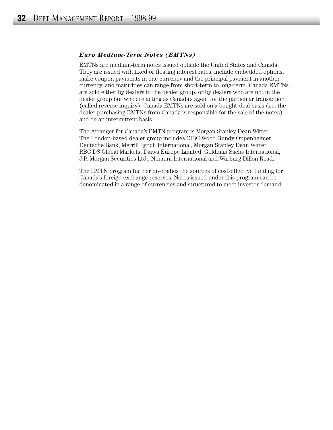#### *Euro Medium-Term Notes (EMTNs)*

EMTNs are medium-term notes issued outside the United States and Canada. They are issued with fixed or floating interest rates, include embedded options, make coupon payments in one currency and the principal payment in another currency, and maturities can range from short-term to long-term. Canada EMTNs are sold either by dealers in the dealer group, or by dealers who are not in the dealer group but who are acting as Canada's agent for the particular transaction (called reverse inquiry). Canada EMTNs are sold on a bought-deal basis (i.e. the dealer purchasing EMTNs from Canada is responsible for the sale of the notes) and on an intermittent basis.

The Arranger for Canada's EMTN program is Morgan Stanley Dean Witter. The London-based dealer group includes CIBC Wood Gundy Oppenheimer, Deutsche Bank, Merrill Lynch International, Morgan Stanley Dean Witter, RBC DS Global Markets, Daiwa Europe Limited, Goldman Sachs International, J.P. Morgan Securities Ltd., Nomura International and Warburg Dillon Read.

The EMTN program further diversifies the sources of cost-effective funding for Canada's foreign exchange reserves. Notes issued under this program can be denominated in a range of currencies and structured to meet investor demand.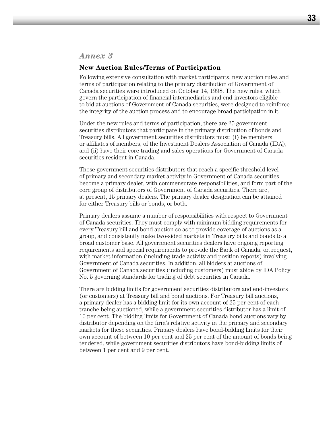## *Annex 3*

#### **New Auction Rules/Terms of Participation**

Following extensive consultation with market participants, new auction rules and terms of participation relating to the primary distribution of Government of Canada securities were introduced on October 14, 1998. The new rules, which govern the participation of financial intermediaries and end-investors eligible to bid at auctions of Government of Canada securities, were designed to reinforce the integrity of the auction process and to encourage broad participation in it.

Under the new rules and terms of participation, there are 25 government securities distributors that participate in the primary distribution of bonds and Treasury bills. All government securities distributors must: (i) be members, or affiliates of members, of the Investment Dealers Association of Canada (IDA), and (ii) have their core trading and sales operations for Government of Canada securities resident in Canada.

Those government securities distributors that reach a specific threshold level of primary and secondary market activity in Government of Canada securities become a primary dealer, with commensurate responsibilities, and form part of the core group of distributors of Government of Canada securities. There are, at present, 15 primary dealers. The primary dealer designation can be attained for either Treasury bills or bonds, or both.

Primary dealers assume a number of responsibilities with respect to Government of Canada securities. They must comply with minimum bidding requirements for every Treasury bill and bond auction so as to provide coverage of auctions as a group, and consistently make two-sided markets in Treasury bills and bonds to a broad customer base. All government securities dealers have ongoing reporting requirements and special requirements to provide the Bank of Canada, on request, with market information (including trade activity and position reports) involving Government of Canada securities. In addition, all bidders at auctions of Government of Canada securities (including customers) must abide by IDA Policy No. 5 governing standards for trading of debt securities in Canada.

There are bidding limits for government securities distributors and end-investors (or customers) at Treasury bill and bond auctions. For Treasury bill auctions, a primary dealer has a bidding limit for its own account of 25 per cent of each tranche being auctioned, while a government securities distributor has a limit of 10 per cent. The bidding limits for Government of Canada bond auctions vary by distributor depending on the firm's relative activity in the primary and secondary markets for these securities. Primary dealers have bond-bidding limits for their own account of between 10 per cent and 25 per cent of the amount of bonds being tendered, while government securities distributors have bond-bidding limits of between 1 per cent and 9 per cent.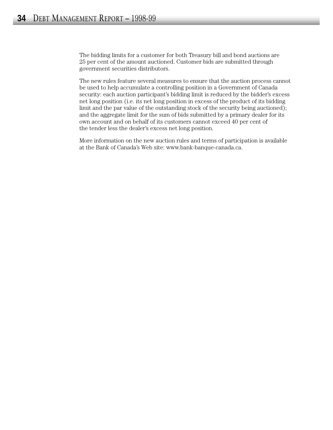The bidding limits for a customer for both Treasury bill and bond auctions are 25 per cent of the amount auctioned. Customer bids are submitted through government securities distributors.

The new rules feature several measures to ensure that the auction process cannot be used to help accumulate a controlling position in a Government of Canada security: each auction participant's bidding limit is reduced by the bidder's excess net long position (i.e. its net long position in excess of the product of its bidding limit and the par value of the outstanding stock of the security being auctioned); and the aggregate limit for the sum of bids submitted by a primary dealer for its own account and on behalf of its customers cannot exceed 40 per cent of the tender less the dealer's excess net long position.

More information on the new auction rules and terms of participation is available at the Bank of Canada's Web site: www.bank-banque-canada.ca.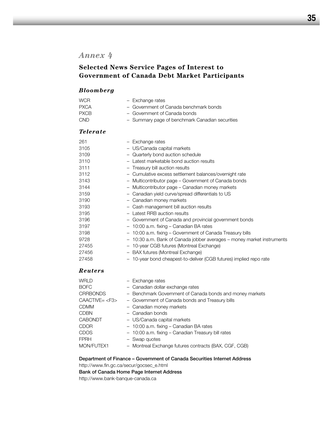## *Annex 4*

## **Selected News Service Pages of Interest to Government of Canada Debt Market Participants**

#### *Bloomberg*

| WCR.        | - Exchange rates                                |
|-------------|-------------------------------------------------|
| <b>PXCA</b> | - Government of Canada benchmark bonds          |
| <b>PXCB</b> | - Government of Canada bonds                    |
| CND.        | - Summary page of benchmark Canadian securities |

#### *Telerate*

| 261   | - Exchange rates                                                       |
|-------|------------------------------------------------------------------------|
| 3105  | - US/Canada capital markets                                            |
| 3109  | - Quarterly bond auction schedule                                      |
| 3110  | - Latest marketable bond auction results                               |
| 3111  | - Treasury bill auction results                                        |
| 3112  | - Cumulative excess settlement balances/overnight rate                 |
| 3143  | - Multicontributor page – Government of Canada bonds                   |
| 3144  | - Multicontributor page – Canadian money markets                       |
| 3159  | - Canadian yield curve/spread differentials to US                      |
| 3190  | - Canadian money markets                                               |
| 3193  | - Cash management bill auction results                                 |
| 3195  | - Latest RRB auction results                                           |
| 3196  | - Government of Canada and provincial government bonds                 |
| 3197  | - 10:00 a.m. fixing - Canadian BA rates                                |
| 3198  | - 10:00 a.m. fixing - Government of Canada Treasury bills              |
| 9728  | - 10:30 a.m. Bank of Canada jobber averages - money market instruments |
| 27455 | - 10-year CGB futures (Montreal Exchange)                              |
| 27456 | - BAX futures (Montreal Exchange)                                      |
| 27458 | 10-year bond cheapest-to-deliver (CGB futures) implied repo rate       |

#### *Reuters*

| WRLD                | - Exchange rates                                         |
|---------------------|----------------------------------------------------------|
| <b>BOFC</b>         | - Canadian dollar exchange rates                         |
| <b>CRRBONDS</b>     | - Benchmark Government of Canada bonds and money markets |
| CAACTIVE= <f3></f3> | - Government of Canada bonds and Treasury bills          |
| <b>CDMM</b>         | - Canadian money markets                                 |
| <b>CDBN</b>         | - Canadian bonds                                         |
| <b>CABONDT</b>      | - US/Canada capital markets                              |
| <b>CDOR</b>         | - 10:00 a.m. fixing - Canadian BA rates                  |
| <b>CDOS</b>         | - 10:00 a.m. fixing - Canadian Treasury bill rates       |
| <b>FPRH</b>         | - Swap quotes                                            |
| MON/FUTEX1          | - Montreal Exchange futures contracts (BAX, CGF, CGB)    |

#### **Department of Finance – Government of Canada Securities Internet Address** http://www.fin.gc.ca/secur/gocsec\_e.html

**Bank of Canada Home Page Internet Address**

http://www.bank-banque-canada.ca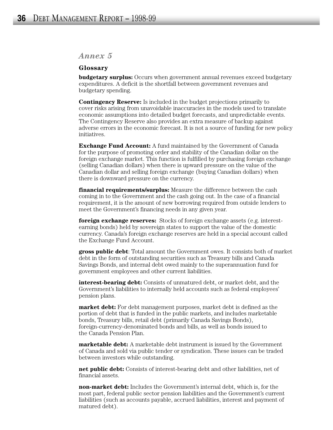## *Annex 5*

#### **Glossary**

**budgetary surplus:** Occurs when government annual revenues exceed budgetary expenditures. A deficit is the shortfall between government revenues and budgetary spending.

**Contingency Reserve:** Is included in the budget projections primarily to cover risks arising from unavoidable inaccuracies in the models used to translate economic assumptions into detailed budget forecasts, and unpredictable events. The Contingency Reserve also provides an extra measure of backup against adverse errors in the economic forecast. It is not a source of funding for new policy initiatives.

**Exchange Fund Account:** A fund maintained by the Government of Canada for the purpose of promoting order and stability of the Canadian dollar on the foreign exchange market. This function is fulfilled by purchasing foreign exchange (selling Canadian dollars) when there is upward pressure on the value of the Canadian dollar and selling foreign exchange (buying Canadian dollars) when there is downward pressure on the currency.

**financial requirements/surplus:** Measure the difference between the cash coming in to the Government and the cash going out. In the case of a financial requirement, it is the amount of new borrowing required from outside lenders to meet the Government's financing needs in any given year.

**foreign exchange reserves:** Stocks of foreign exchange assets (e.g. interestearning bonds) held by sovereign states to support the value of the domestic currency. Canada's foreign exchange reserves are held in a special account called the Exchange Fund Account.

**gross public debt**: Total amount the Government owes. It consists both of market debt in the form of outstanding securities such as Treasury bills and Canada Savings Bonds, and internal debt owed mainly to the superannuation fund for government employees and other current liabilities.

**interest-bearing debt:** Consists of unmatured debt, or market debt, and the Government's liabilities to internally held accounts such as federal employees' pension plans.

**market debt:** For debt management purposes, market debt is defined as the portion of debt that is funded in the public markets, and includes marketable bonds, Treasury bills, retail debt (primarily Canada Savings Bonds), foreign-currency-denominated bonds and bills, as well as bonds issued to the Canada Pension Plan.

**marketable debt:** A marketable debt instrument is issued by the Government of Canada and sold via public tender or syndication. These issues can be traded between investors while outstanding.

**net public debt:** Consists of interest-bearing debt and other liabilities, net of financial assets.

**non-market debt:** Includes the Government's internal debt, which is, for the most part, federal public sector pension liabilities and the Government's current liabilities (such as accounts payable, accrued liabilities, interest and payment of matured debt).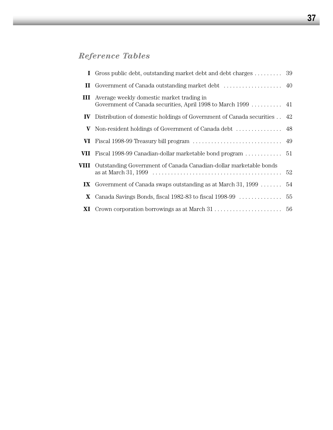## *Reference Tables*

|      | <b>I</b> Gross public debt, outstanding market debt and debt charges  39                                   |  |
|------|------------------------------------------------------------------------------------------------------------|--|
|      |                                                                                                            |  |
| Ш    | Average weekly domestic market trading in<br>Government of Canada securities, April 1998 to March 1999  41 |  |
| IV — | Distribution of domestic holdings of Government of Canada securities . 42                                  |  |
|      | <b>V</b> Non-resident holdings of Government of Canada debt $\dots\dots\dots\dots\dots$ 48                 |  |
|      |                                                                                                            |  |
|      |                                                                                                            |  |
|      | VIII Outstanding Government of Canada Canadian-dollar marketable bonds                                     |  |
|      | IX Government of Canada swaps outstanding as at March 31, 1999 $\dots \dots$ 54                            |  |
|      |                                                                                                            |  |
|      |                                                                                                            |  |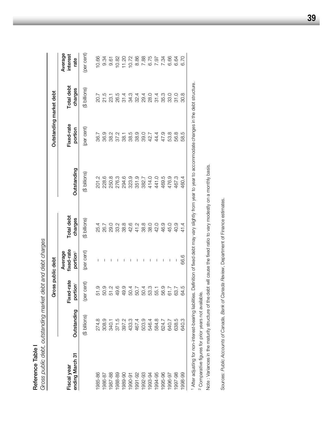|                                |                                  | Gross public debt                        | debt and debt charges                         |                       |                                           | Outstanding market debt |                       |                             |
|--------------------------------|----------------------------------|------------------------------------------|-----------------------------------------------|-----------------------|-------------------------------------------|-------------------------|-----------------------|-----------------------------|
| ending March 31<br>Fiscal year | Outstanding                      | Fixed-rate<br>portion <sup>1</sup>       | fixed-rate<br>Average<br>portion <sup>2</sup> | Total debt<br>charges | Outstanding                               | Fixed-rate<br>portion   | Total debt<br>charges | Average<br>interest<br>rate |
|                                | (\$ billions)                    | (per cent)                               | (per cent)                                    | (\$ billions)         | (\$ billions)                             | (per cent)              | (\$ billions)         | (per cent)                  |
| 1985-86                        | 274.8                            |                                          |                                               | 25.4                  | 201.2                                     | 36.7                    |                       | 10.66                       |
| 1986-87                        | 308.9                            | 51.9<br>50.9                             |                                               | 26.7                  | 228.6                                     | 36.9                    |                       | 9.34                        |
| 1987-88                        |                                  | 51.2                                     |                                               | 29.0                  | 250.8<br>276.3                            |                         |                       | 9.61                        |
| 1988-89                        |                                  | 49.6                                     |                                               | 33.2                  |                                           |                         |                       | 10.82                       |
| 1989-90                        |                                  |                                          |                                               | 38.8                  | 294.6                                     |                         |                       |                             |
| 1990-91                        | 340.1<br>371.5<br>397.2<br>393.3 |                                          |                                               | 42.6                  |                                           |                         |                       |                             |
| 1991-92                        | 467.4<br>503.9                   | 4<br>0 0 0 0 0<br>0 0 0 0 0<br>0 4 1 4 0 |                                               | 41.2<br>38.8          | 323.9<br>351.9<br>382.7<br>441.0<br>441.0 |                         |                       |                             |
| 1992-93                        |                                  |                                          |                                               |                       |                                           |                         |                       |                             |
| 1993-94                        | 546.4                            |                                          | I                                             | 38.0                  |                                           |                         |                       |                             |
| 1994-95                        | 584.8                            | 55.1                                     |                                               | 42.0                  |                                           |                         |                       |                             |
| 1995-96                        | 624.7                            | 56.9                                     | I                                             | 46.9                  |                                           | 47.9                    |                       |                             |
| 1996-97                        | 640.7                            | 61.7                                     |                                               | 45.0                  | 469.5<br>476.9<br>467.3                   | 53.8                    | 33.0                  |                             |
| 1997-98                        | 638.5                            | 63.7                                     |                                               | 40.9                  |                                           | 56.8                    | 31.0                  | 6.64                        |
| 1998-99                        | 640.3                            | 64.5                                     | 66.6                                          | 41.4                  | 460.4                                     | 58.5                    | 30.8                  | 6.70                        |
|                                |                                  |                                          |                                               |                       |                                           |                         |                       |                             |

**Reference Table I** 

Reference Table I

<sup>1</sup> After adjusting for non-interest-bearing liabilities. Definition of fixed debt may vary slightly from year to year to accommodate changes in the debt structure. After adjusting for non-interest-bearing liabilities. Definition of fixed debt may vary slightly from year to year to accommodate changes in the debt structure.

<sup>2</sup> Comparative figures for prior years not available. Comparative figures for prior years not available.

Note: Variances in the maturity structure of the debt will cause the fixed ratio to vary modestly on a monthly basis. Note : Variances in the maturity structure of the debt will cause the fixed ratio to vary modestly on a monthly basis.

Sources: Public Accounts of Canada, Bank of Canada Review, Department of Finance estimates. Sources: *Public Accounts of Canada, Bank of Canada Review*, Department of Finance estimates.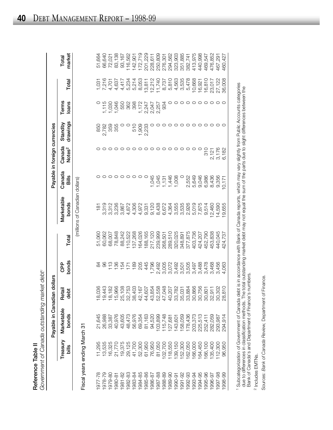| $\frac{1}{2}$<br>Reference | Concerned to the Canadian original concerned |
|----------------------------|----------------------------------------------|
|                            |                                              |

| Reference Table II |                              | Government of Canada outstanding market debt <sup>1</sup> |                         |                         |                                          |                                |                 |                               |                     |                                           |                            |                               |
|--------------------|------------------------------|-----------------------------------------------------------|-------------------------|-------------------------|------------------------------------------|--------------------------------|-----------------|-------------------------------|---------------------|-------------------------------------------|----------------------------|-------------------------------|
|                    |                              | Payable in Canadia                                        | n dollars               |                         |                                          |                                |                 | Payable in foreign currencies |                     |                                           |                            |                               |
|                    | Treasury<br>bills            | Marketable<br>bonds                                       | Retail<br>debt          | bonds<br><b>OPP</b>     | Total                                    | Marketable<br>bonds            | Canada<br>Bills | Canada<br>Notes <sup>2</sup>  | drawings<br>Standby | Terms<br>loans                            | Total                      | market<br>Total               |
|                    |                              |                                                           |                         |                         |                                          | (millions of Canadian dollars) |                 |                               |                     |                                           |                            |                               |
|                    | Fiscal years ending March 31 |                                                           |                         |                         |                                          |                                |                 |                               |                     |                                           |                            |                               |
| 977-78             | 11,295                       | 21,645                                                    |                         | 8                       | 51,060                                   | $\frac{1}{2}$                  |                 |                               |                     |                                           | $1,03$ <sup>-</sup>        | 51,664                        |
| 978-79             | 13,535                       | 26,988                                                    | 036<br>43               | 8                       | 60,062                                   | 3,319                          |                 |                               |                     | ,115                                      |                            | 66,640                        |
| 979-80             | 16,325                       | 33,387                                                    | 182                     | $\frac{8}{10}$          | 68,007                                   | 3,312                          |                 |                               | 850<br>2,782<br>359 | 1,030                                     | 7,216<br>4,701             | 72,021                        |
| 18-080             | 21,770                       | 40,976                                                    | 966                     | 136                     | 78,848                                   | 3,236                          |                 |                               | 355                 |                                           | 4,637                      | 83,138                        |
| 981-82             | 19,375                       | 43,605                                                    |                         | 154                     | 88,242                                   | 3,867                          |                 |                               |                     | 1,046<br>550                              | 4,417                      | 93,167                        |
| 982-83             | 29,125                       | 48,473                                                    | $\frac{8}{753}$         | $\overline{171}$        | 110,522                                  | 4,872                          |                 |                               |                     | 362                                       | 5,234                      | 116,562<br>142,901            |
| 983-84             | 41,700                       | 56,976                                                    |                         | 189                     | 137,268                                  | 4,306                          |                 |                               | 510                 | 398                                       | 5,214                      |                               |
| 984-85             | 52,300                       | 69,354                                                    | 195<br>197<br>807       | 205                     | 164,026                                  | 4,972                          | O               |                               | 1,909<br>2,233      |                                           | 8,053                      | 172,719                       |
| 985-86             |                              | 81,163                                                    |                         | 445                     | 188,165                                  | 9,331                          |                 |                               |                     |                                           | 13,811                     | 201,229                       |
| 1986-87            | 61,950<br>76,950             | 94,520                                                    |                         | 1,796                   | 217,120                                  |                                | 1,045           |                               |                     | 1,724<br>2,247<br>2,247<br>1,747<br>1,734 | 12,212                     | 228,611                       |
| 987-88             | 81,050                       | 03,899                                                    | 898222588<br>89822258   |                         | 239,999                                  | 9,120<br>8,438                 | 1,045           |                               |                     |                                           | 11,740                     |                               |
| 1988-89            | 102,700                      | 115,748<br>127,681                                        |                         |                         |                                          | 6,672                          | 131             |                               |                     |                                           | 8,737                      |                               |
| 06-686             | 118,550                      |                                                           |                         | 2,492<br>3,005<br>3,072 |                                          | 4,364                          | 1,446           |                               |                     |                                           | 5,810                      | 250,809<br>276,301<br>294,562 |
| 990-91             | 39,150                       | 143,601                                                   |                         | 3,492<br>3,505<br>3,505 | 268,501<br>289,510<br>320,025<br>348,891 | 3,555                          | 1,008           |                               |                     | $\circ$                                   | 4,563<br>3,535             | 323,903                       |
| $991 - 92$         | 152,300                      | 158,059                                                   |                         |                         |                                          | 3,535                          |                 |                               |                     | $\circ$                                   |                            | 351,885                       |
| 1992-93            | 62,050                       | 178,436                                                   |                         |                         | 377,875                                  |                                | 2,552           |                               |                     | $\circ$                                   | 5,478                      | 382,741                       |
| 993-94             | 66,000                       | 203,373                                                   | 866<br>756              | 3,497<br>3,488<br>3,478 | 403,736                                  | 2,926<br>5,019<br>7,875        | 5,649           |                               |                     | $\circ$                                   | 10,668                     | 413,975                       |
| 1994-95            | 64,450                       |                                                           |                         |                         | 424,207<br>452,790                       |                                | 9,046           |                               |                     |                                           | 16,921<br>16,810           | 440,998                       |
| 1995-96            | 166,100                      | 225,513<br>252,411                                        | $\overline{5}$          |                         |                                          | 9,514                          | 6,986           | 310                           |                     | $\circ$                                   |                            | 469,547                       |
| 996-97             | 135,400                      | 282,059                                                   |                         |                         | 453,838                                  | 12,460                         | 8,436           |                               |                     | $\circ$                                   |                            | 476,852                       |
| 1997-98            | 112,300<br>96,950            | 293,987<br>294,914                                        | 5 3 0<br>5 0 0<br>5 0 0 | 3,468<br>3,456<br>4,063 | 440,045<br>424,737                       | 14,590                         | 9,356           | 2, 121<br>3, 176<br>6, 182    |                     |                                           | 23,017<br>27,122<br>36,008 | 467,291                       |
| 1998-99            |                              |                                                           |                         |                         |                                          | 19,655                         | 10,171          |                               |                     |                                           |                            | 460,427                       |

1 Subcategorization of Government of Canada debt is in accordance with Bank of Canada reports, which may vary slightly from Public Accounts categories<br>due to differences in classification methods. The total outstanding mar Subcategorization of Government of Canada debt is in accordance with Bank of Canada reports, which may vary slightly from Public Accounts categories due to differences in classification methods. The total outstanding market debt may not equal the sum of the parts due to slight differences between the Bank of Canada's and Department of Finance's numbers.

<sup>2</sup> Includes EMTNs.  $z$  Includes EMTNs.

Sources: Bank of Canada Review, Department of Finance. Sources: *Bank of Canada Review,* Department of Finance.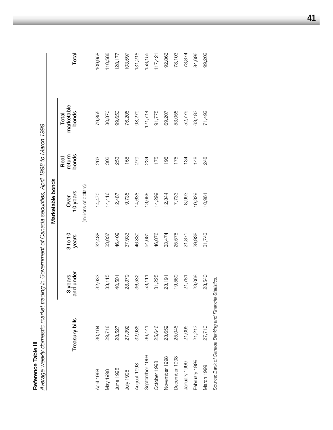**Reference Table III**<br>Average weekly domestic market trading in Government of Canada securities, April 1998 to March 1999 *Average weekly domestic market trading in Government of Canada securities, April 1998 to March 1999*

|                |                                                          |                      |                  | Marketable bonds      |                         |                              |         |
|----------------|----------------------------------------------------------|----------------------|------------------|-----------------------|-------------------------|------------------------------|---------|
|                | Treasury bills                                           | and under<br>3 years | 3 to 10<br>years | 10 years<br>Over      | bonds<br>return<br>Real | marketable<br>bonds<br>Total | Total   |
|                |                                                          |                      |                  | (millions of dollars) |                         |                              |         |
| April 1998     | 30,104                                                   | 32,633               | 32,488           | 14,470                | 263                     | 79,855                       | 109,958 |
| May 1998       | 29,718                                                   | 33,115               | 33,037           | 14,416                | 302                     | 80,870                       | 110,588 |
| June 1998      | 28,527                                                   | 40,501               | 46,409           | 12,487                | 253                     | 99,650                       | 128,177 |
| 9661 Ann       | 27,392                                                   | 28,379               | 37,933           | 9,735                 | 158                     | 76,205                       | 103,597 |
| August 1998    | 32,936                                                   | 36,532               | 46,830           | 14,638                | 279                     | 98,279                       | 131,215 |
| September 1998 | 36,441                                                   | 53,111               | 54,681           | 13,688                | 234                     | 121,714                      | 158,155 |
| October 1998   | 25,646                                                   | 31,225               | 46,076           | 14,299                | 175                     | 91,775                       | 117,421 |
| November 1998  | 23,659                                                   | 23,191               | 33,474           | 12,344                | 198                     | 69,207                       | 92,866  |
| December 1998  | 25,048                                                   | 19,569               | 25,578           | 7,733                 | 175                     | 53,055                       | 78,103  |
| January 1999   | 21,095                                                   | 21,781               | 21,871           | 8,993                 | 134                     | 52,779                       | 73,874  |
| February 1999  | 21,213                                                   | 23,068               | 29,938           | 10,329                | 148                     | 63,483                       | 84,696  |
| March 1999     | 27,710                                                   | 28,540               | 31,743           | 10,961                | 248                     | 71,492                       | 99,202  |
|                | Source: Bank of Canada Banking and Financial Statistics. |                      |                  |                       |                         |                              |         |

**41**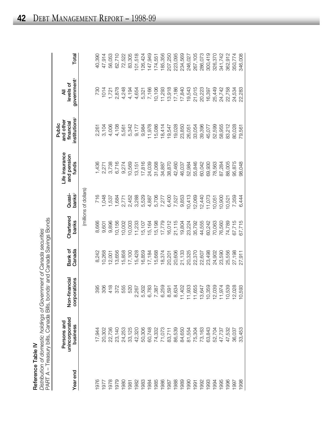| ¢      |
|--------|
| ι      |
| í<br>t |
|        |
|        |

185,356 223,095 246,027 286,073 326,370 300,419 Reference Table Mc hodings of Covernment of Canada searchies<br>
Pedremoc Table Mis. Londos and Canada Savings Bonds<br>
PARTA – Treasury bills, Canada Bills, Londos and Canada Savings Bonds<br>
PARTA – Treasury bills, Canada Bills 1986 71,073 6,259 18,374 17,779 7,277 34,887 18,414 11,293 185,356 207,250 1987 83,711 8,591 20,201 16,012 6,400 38,870 19,547 13,918 207,250 1988 86,539 8,634 20,606 21,115 7,527 42,460 19,028 17,186 223,095 234,569 094,699 84,620 23,850 23,850 23,950 10,805 23,950 23,950 23,450 234,569 234,569 234,569 234,569 234,569 234,56 1990 81,554 11,933 20,325 23,224 10,413 52,984 26,051 19,543 246,027 267,105 1991 75,304 11,655 22,370 35,792 12,069 55,846 33,054 21,015 267,105 1992 73,163 13,647 22,607 44,555 12,440 60,042 39,396 20,223 286,073 1993 63,843 63,843 63,959,900 69,900 69,924 11,073 69,949 80,949 30,070 69,070 16,077 45,077 45,078 300 45,077 1994 52,704 12,039 24,902 70,063 10,051 78,563 52,599 25,449 326,370 341,742 1995 47,737 11,974 23,590 76,560 10,900 87,284 58,955 24,742 341,742 362,912 1996 47,532 10,539 25,556 74,789 10,521 88,005 83,212 22,758 362,912 350,774 1997 36,037 12,028 27,198 67,715 7,359 95,875 80,028 24,534 350,774 346,008 1998 33,453 10,593 27,911 67,715 6,444 98,048 79,561 22,283 346,00813,918 21,015 25,449 24,742  $11,293$ 17,186 17,840 19,543 20,223 16,397 22,758 24,534 22,283 18,414 19,547 19,028 23,850 39,396 52,599 58,955 83,212 80,028 26,051 33,054 45,077 79,561 34,887 38,870 42,460 46,037 52,984 55,846 60,042 69,930 78,563 87,284 88,005 95,875 98,048 9,853  $10,413$ 12,069 11,073 7,277 6,400 7,527 12,440 10,900 7,359  $10,051$ 10,521 6,444 21,115 67,715 17,779 16,012 19,804 23,224 35,792 44,555 60,242 70,063 76,560 74,789 67,715 18,374 20,606 21,133 20,325 22,370 22,607 23,498 24,902 23,590 25,556 27,198 20,201 27,911 6,259 11,933 13,647 10,539 12,028 8,634 11,402 11,655 10,359 12,039 11,974 8,591 10,593 71,073 86,539 84,650 63,843 83,711 81,554 75,304 73,163 52,704 47,737 47,532 36,037 33,453 1986 1988 1989 1990 1992 1993 1994 1995 1996 1997 1987 1998 1991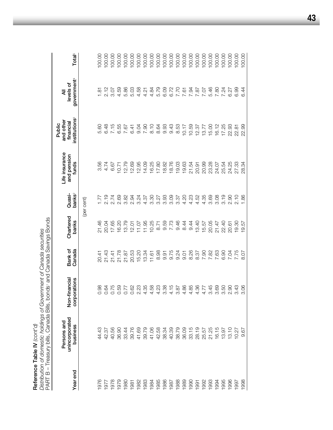**Reference Table IV** *(cont'd)*

**Reference Table IV** (cont'd)<br>Distribution of domestic holdings of Government of Canada securities<br>PART B – Treasury bills, Canada Bills, bonds' and Canada Savings Bonds PART B – Treasury bills, Canada Bills, bonds1 and Canada Savings Bonds *Distribution of domestic holdings of Government of Canada securities*

| Year end | unincorporated<br>Persons and<br>business | Non-financial<br>corporations | Canada<br>Bank of      | Chartered<br>banks | bank $\mathbf{s}^2$<br>Quasi-                                   | Life insurance<br>and pension<br>funds | institutions <sup>3</sup><br>and other<br>financial<br>Public | government <sup>4</sup><br>levels of<br>₹ | Total <sup>5</sup> |
|----------|-------------------------------------------|-------------------------------|------------------------|--------------------|-----------------------------------------------------------------|----------------------------------------|---------------------------------------------------------------|-------------------------------------------|--------------------|
|          |                                           |                               |                        |                    | (per cent)                                                      |                                        |                                                               |                                           |                    |
| 976      | 44.43                                     |                               |                        | 21.46              |                                                                 | 3.56                                   | 5.60                                                          | 1.81                                      | 100.00             |
| 977      | 42.37                                     | 0.84                          |                        | 20.04              |                                                                 |                                        | 6.48                                                          | 2.12                                      | 100.00             |
| 1978     | 40.56                                     | 0.75                          |                        | 17.65              |                                                                 | 6.67                                   | 7.15                                                          | 3.07                                      | 100.00             |
| 1979     | 36.90                                     |                               | 20143<br>20143<br>2015 | 16.20              |                                                                 | $-0.71$                                | 6.55                                                          | 4.59                                      | 100.00             |
| 080      | 33.44                                     | 0.59<br>0.77<br>0.0.23        | 21.87                  | 13.79              | 2010 2020 2020 2020<br>2020 2020 2020 2020<br>2020 2020 2020 20 | 12.79                                  | 7.67                                                          |                                           | 100.00             |
| 1981     | 39.76                                     |                               | 20.53                  | 12.01              |                                                                 | <b>2.69</b>                            | 6.41                                                          |                                           | 100.00             |
| 1982     | 41.69                                     |                               | 15.20                  | 11.07              |                                                                 | <b>2.95</b>                            | 9.04                                                          |                                           | 100.00             |
| 1983     | 39.79                                     |                               | 13.34                  | 11.95              |                                                                 | 14.09                                  | 7.90                                                          |                                           | 100.00             |
| 1984     | 41.06                                     |                               | 11.61                  | 10.25              |                                                                 | 16.25                                  | 8.10                                                          |                                           | 100.00             |
| 1985     | 42.58                                     |                               | 8.98                   | 8.71               |                                                                 | 17.80                                  | 8.64                                                          |                                           | 100.00             |
| 1986     | 38.34                                     |                               | 9.91                   | 9.59               |                                                                 | 18.82                                  | 9.93                                                          |                                           | 100.00             |
| 1987     | 40.39                                     |                               | 9.75                   | 7.73               | 3.09                                                            | 18.76                                  | 9.43                                                          |                                           | 100.00             |
| 1988     | 38.79                                     |                               | 9.24                   | 9.46               | 3.37                                                            | 19.03                                  | 8.53                                                          |                                           | 100.00             |
| 1989     | 36.09                                     |                               | 9.01                   | 8.44               |                                                                 | 19.63                                  | 10.17                                                         |                                           | 100.00             |
| 0661     | 33.15                                     | $44440$ $6600740$ $6600740$   | 8.26                   | 9.44               | $4.30$<br>$4.50$<br>$4.52$                                      | 21.54                                  | 10.59                                                         |                                           | 100.00             |
| 1991     | 28.19                                     |                               | 8.37                   | 13.40              |                                                                 | 20.91                                  | 12.37                                                         |                                           | 100.00             |
| 1992     | 25.57                                     |                               | 7.90                   | 15.57              | 4.35                                                            | 20.99                                  | 13.77                                                         |                                           | 100.00             |
| 1993     | 21.25                                     |                               | 7.82                   | 20.05              | 3.69                                                            | 23.28                                  | 15.00                                                         | 5.46                                      | 100.00             |
| 1994     | 16.15                                     | 3.69                          | 7.63                   | 21.47              | 3.08                                                            | 24.07                                  | 16.12                                                         | 7.80                                      | 100.00             |
| 1995     | 13.97                                     |                               | 6.90                   | 22.40              | 3.19                                                            | 25.54                                  | 17.25                                                         |                                           | 100.00             |
| 1996     | 13.10                                     |                               |                        | 20.61              | 2.90                                                            | 24.25                                  | 22.93                                                         | 7.24<br>6.27                              | 100.00             |
| 1997     | 10.27                                     |                               | 7.75                   | 19.30              | 2.10                                                            | 27.33                                  | 22.81                                                         | 6.99                                      | 100.00             |
| 1998     | 67<br>တ                                   | 3.06                          | 8.07                   | 19.57              | 1.86                                                            | 28.34                                  | 22.99                                                         | 6.44                                      | 100.00             |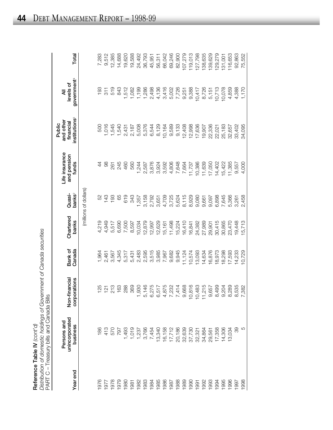|                                             | actribution of domestic holdings of Government of |
|---------------------------------------------|---------------------------------------------------|
| J<br>N Cont                                 |                                                   |
|                                             |                                                   |
| hafaranca Tahlı<br>$\frac{2}{2}$<br>⊍∎<br>⊽ |                                                   |

|          | Distribution of domestic holdings of Government of Canada securities<br>PART C – Treasury bills and Canada Bills<br>Reference Table IV $\langle \text{const'}d \rangle$ |                                 |                   |                    |                              |                                        |                                                               |                                           |         |
|----------|-------------------------------------------------------------------------------------------------------------------------------------------------------------------------|---------------------------------|-------------------|--------------------|------------------------------|----------------------------------------|---------------------------------------------------------------|-------------------------------------------|---------|
| Year end | unincorporated<br>Persons and<br>business                                                                                                                               | Non-financial<br>corporations   | Bank of<br>Canada | Chartered<br>banks | banks <sup>2</sup><br>Quasi- | Life insurance<br>and pension<br>funds | institutions <sup>3</sup><br>and other<br>financial<br>Public | government <sup>4</sup><br>levels of<br>₹ | Total   |
|          |                                                                                                                                                                         |                                 |                   |                    | (millions of dollars)        |                                        |                                                               |                                           |         |
| 976      | 186                                                                                                                                                                     | 125                             | 1,964             | 4,219              | 52                           | 4                                      | 500                                                           | 193                                       | 7,283   |
| 1977     | 413                                                                                                                                                                     | $\frac{1}{2}$                   | 2,461             | 4,949              | 143                          | 8                                      | 1,016                                                         | $\frac{1}{3}$                             | 9,512   |
| 1978     | 570                                                                                                                                                                     | 213                             | 3,567             | 5,517              | 193                          | 261                                    | 1,545                                                         | 519                                       | 12,385  |
| 1979     | 797                                                                                                                                                                     | 163                             | 4,345             | 6,690              | 89                           | 245                                    | 1,540                                                         | 843                                       | 14,688  |
| 1980     | 1,493                                                                                                                                                                   | 288                             | 5,317             | 7,500              | 619                          | 460                                    | 2,431                                                         | 1,512                                     | 19,620  |
| 1981     | 1,019                                                                                                                                                                   | 369                             | 5,431             | 8,597              | 343                          | 560                                    | 2,187                                                         | 1,082                                     | 19,588  |
| 1982     | 1,237                                                                                                                                                                   | 930                             | 2,483             | 10,034             | 1,357                        | 1,244                                  | 5,008                                                         | 1,199                                     | 24,492  |
| 1983     | 3,766                                                                                                                                                                   | 5,146                           | 2,595             | 12,879             | 3,158                        | 2,587                                  | 5,376                                                         | 1,286                                     | 36,793  |
| 1984     | 7,454                                                                                                                                                                   | 275<br>$^\circ$                 | 3,515             | 12,997             | 2,792                        | 3,876                                  | 6,544                                                         | 2,498                                     | 45,951  |
| 1985     | 13,340                                                                                                                                                                  | 517<br>$\circ$                  | 3,985             | 12,629             | 3,651                        | 3,924                                  | 8,129                                                         | 4,136                                     | 56,311  |
| 1986     | 16,158                                                                                                                                                                  | ,875<br>4 L                     | 7,967             | 15,161             | 4,709                        | 3,592                                  | 10,164                                                        | 3,416                                     | 66,042  |
| 1987     | 17,712                                                                                                                                                                  | 232                             | 9,682             | 11,498             | 3,725                        | 4,806                                  | 9,589                                                         |                                           | 69,246  |
| 1988     | 20,186                                                                                                                                                                  | $-414$                          | 9,945             | 15,224             | 5,624                        | 7,648                                  | 9,133                                                         | 5,002<br>7,726                            | 82,900  |
| 1989     | 32,639                                                                                                                                                                  | ,668<br>တ                       | 11,124            | 16,410             | 8,115                        | 7,664                                  | 12,408                                                        | 9,251                                     | 107,279 |
| 1990     | 37,730                                                                                                                                                                  | ,816                            | 10,574            | 16,841             | 8,929                        | 11,737                                 | 12,998                                                        | 9,388                                     | 119,013 |
| 1991     | 32,321                                                                                                                                                                  | ,483<br>$\overline{C}$          | 13,093            | 24,382             | 9,080                        | 10,386                                 | 17,636                                                        | 10,417                                    | 127,798 |
| 1992     | 34,864                                                                                                                                                                  | ,215<br>$\overline{L}$ $\omega$ | 14,634            | 27,989             | 9,661                        | 11,639                                 | 19,907                                                        | 8,726                                     | 138,635 |
| 1993     | 29,561                                                                                                                                                                  | ,657                            | 16,876            | 29,901             | 9,097                        | 17,050                                 | 22,336                                                        | 5,151                                     | 139,629 |
| 1994     | 17,358                                                                                                                                                                  | ,499<br>$\infty$                | 18,973            | 30,415             | 6,898                        | 14,402                                 | 22,021                                                        | 10,713                                    | 129,279 |
| 1995     | 14,306                                                                                                                                                                  | 204                             | 18,298            | 30,865             | 7,645                        | 15,422                                 | 25,183                                                        | 10,078                                    | 131,001 |
| 1996     | 13,034                                                                                                                                                                  | ,289                            | 17,593            | 23,470             | 5,366                        | 11,385                                 | 32,657                                                        | 4,859                                     | 116,653 |
| 1997     | 89                                                                                                                                                                      | 8,535                           | 14,233            | 19,448             | 3,261                        | 9,557                                  | 33,402                                                        | 4,388                                     | 92,863  |
| 1998     | 5                                                                                                                                                                       | ,382                            | 10,729            | 15,713             | 2,458                        | 4,000                                  | 34,095                                                        | 1,170                                     | 75,552  |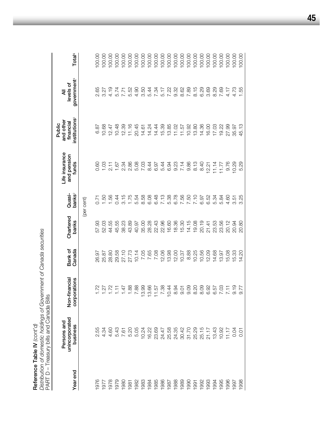*Distribution of domestic holdings of Government of Canada securities* Reference Table IV (cont'd) **Reference Table IV** *(cont'd)*

Total<sup>5</sup> 00.00  $00.00$ 00.00 00.00  $00.00$  $00.00$ 100.00 100.00 100.00 100.00 00.00 100.00 00.00 00.00 00.00 00.00 00.00 100.00 00.00 100.00 00.00 00.00 **Year end business corporations Canada banks banks**2 **funds institutions**3 **government**4 **Total5** 1976 2.55 2.55 1.72 0.60 57.93 26.97 57.1 0.60 0.60 6.87 6.87 2.65 100.00 1977 4.34 1.27 1.27 1.50 1.60 1.60 1.60 1.60 1.60 1.27 1.27 1.4.34 4.34 4.34 1.27 1.4.34 4.34 1.27 1.4.34 4.34 1978 4.60 1.72 28.80 44.55 1.56 2.11 12.47 4.19 100.00 1979 5.43 1.11 29.58 45.55 0.44 1.67 10.48 5.74 100.00 1980 12.34 1.47 2.34 1.47 2.34 3.34 12.39 3.34 12.39 12.39 12.39 12.39 12.39 12.34 12.1 1981 5.20 1.88 27.73 43.89 1.75 2.86 11.16 5.52 100.00 1982 5.05 7.88 10.14 40.97 5.54 5.08 20.45 4.90 100.00 00.001 14.61 14.61 14.61 14.61 14.61 14.61 14.61 14.61 14.61 14.61 14.61 14.61 14.61 14.61 14.61 14.61 100.00 1984 16.22 16.22 16.56 28.08 6.08 28.28 7.66 28.08 6.08 28.24 14.24 5.44 5.44 5.44 16.24 14.24 5.44 14.24 14.24 00001 23.69 14.44 14.44 14.44 14.44 14.44 14.44 14.44 14.44 14.44 14.44 14.44 14.44 14.44 14.44 14.44 14.44 14.44 14.44 14.44 14.44 14.44 14.44 14.44 14.44 14.44 14.44 14.44 14.44 14.44 14.44 14.44 14.44 14.44 14.44 14.44 1 1986 24.47 24.47 7.38 12.06 7.13 5.44 5.44 5.44 5.44 15.39 5.17 5.17 1987 25.58 10.44 13.98 16.60 5.38 6.94 13.85 7.22 100.00 00.001 11.02 12.035 8.35 8.235 8.235 8.235 8.235 8.235 8.235 8.235 8.235 8.2435 8.237 11.02 11.02 11.02 11.02 11.02 11.02 11.02 11.02 11.02 11.02 11.02 11.02 11.02 11.02 11.02 11.02 11.02 11.02 11.02 11.02 11.02 11.02 11.02 1989 30.42 11.57 11.42 11.57 10.37 10.37 10.37 10.37 10.37 10.37 10.37 10.37 10.37 10.37 11.57 11.57 11.57 11.57 1990 31.70 9.09 8.88 14.15 7.50 9.86 10.92 7.89 100.00 1991 25.29 8.20 8.20 8.20 8.20 8.20 8.13 8.13 8.13 13.80 8.15 8.15 1992 25.15 8.09 10.56 20.19 6.97 8.40 14.36 6.29 100.00 1993 21.17 21.17 6.92 12.21 12.21 6.92 12.21 12.21 16.00 6.92 12.21 16.00 16.00 16.00 16.00 16.00 16.00 16.00 1 1994 13.43 6.57 14.68 23.53 5.34 11.14 17.03 8.29 100.00 1995 10.03 10.02 10.92 11.77 11.77 19.32 10.00 10.00 10.00 10.00 10.00 10.00 10.00 10.00 10.00 10.00 10.00 10. 00001 11.17 11.17 11.17 11.17 11.17 11.17 11.17 11.17 11.17 11.17 11.17 11.17 11.17 11.17 11.17 11.1 government<sup>4</sup> levels of **unincorporated Non-financial Bank of Chartered Quasi- and pension financial levels of** 8.15<br>6.29 2.65 3.27 4.19 5.74  $7.71$ <br> $5.50$ <br> $4.50$ <br> $3.50$ 5.44 7.34 5.17 7.22  $3.32$ <br> $0.82$ <br> $0.89$ <br> $7.89$ 3.69 8.29 7.69 4.17 4.73<br>1.55 ₹ **Persons and Life insurance and other All** institutions<sup>3</sup> and other<br>financial **Public** 10.68  $12.47$ 10.48 12.39  $11.16$ 20.45 14.24 14.44 15.39 13.85  $11.02$  $11.57$ 10.92 13.80 14.36 16.00 17.03 19.22 27.99 35.97 6.87  $14.61$ Life insurance<br>and pension 2.34<br>2.86 5.08 7.03 8.44 6.97 5.44 6.94 9.23  $7.14$ 9.86  $8.13$ 8.40 9.76  $1.03$  $2.11$ 1.67  $12.21$  $11.14$  $11.77$ 10.29 funds  $0.60$ Quasi-<br>banks<sup>2</sup> 1.56 1.75 6.48  $7.13$ 5.38 6.78 7.56 7.10 0.44  $3.15$ 5.54 8.58 6.08 7.50 6.97 6.52 5.34 0.71 1.50 5.84 4.60  $3.51$ (per cent) Chartered<br>banks  $14.15$ 19.08 20.19 23.56 57.93 52.03 44.55 45.55 38.23 43.89 40.97 35.00 28.28 22.43 22.96 16.60 18.36 15.30  $21.41$ 23.53 20.12 20.94 Distribution of domestic holdings of Government of Canada securities<br>PART D - Treasury bills and Canada Bills Bank of<br>Canada 7.05 7.65 7.08 12.06 13.98 12.00 8.88 10.25 10.56 12.09 14.68 15.08 15.33 26.97 25.87 28.80 29.58 27.10 27.73  $10.14$ 10.37 13.97 Non-financial corporations 1.88  $11.57$ <br>7.38  $9.09$ 8.20 8.09 6.92 6.57 7.03  $9.19$  $1.72$  $1.27$  $1.72$  $1.11$  $1.47$ 7.88 13.99 13.66  $10.44$ 8.94  $9.01$  $7.11$ PART D – Treasury bills and Canada Bills Persons and<br>unincorporated<br>business 4.60 5.43 5.20 5.05 10.24 16.22 23.69 24.47 25.58 24.35 30.42 31.70 25.29 25.15  $21.17$ 13.43 2.55 4.34 7.61 10.92  $11.17$ 0.04 Year end 1985 1986 1988 1989 1990 1992 1993 1995 1996 1976 1978 1979 1980 1982 1983 1984 1987 1994 1997 1977 1981 1991

00.001 10.03 20.05 36.07 36.97 4.51 20.000 37.07 37.07 37.07 4.73 100.000 37.07 4.73 10.000 37.07 4. 1998 0.01 9.77 14.20 20.80 3.25 5.29 45.13 1.55 100.00

00.00

45.13

5.29

3.25

20.80

14.20

9.77

 $0.01$ 

1998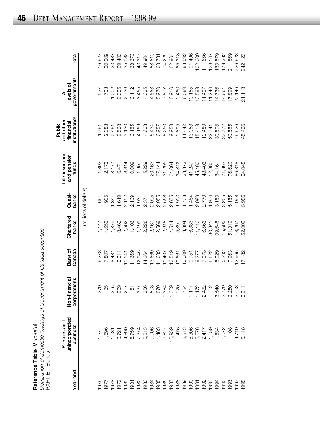| Reference Table IV $\langle \text{cont}' \text{d} \rangle$ | Distribution of domestic holdings of Government of Canada securitive | Rondei<br>$PARTE - E$ |
|------------------------------------------------------------|----------------------------------------------------------------------|-----------------------|
|------------------------------------------------------------|----------------------------------------------------------------------|-----------------------|

| りうり<br>コニスニ |                                           |                               |                   |                    |                              |                                        |                                                               |                                           |         |
|-------------|-------------------------------------------|-------------------------------|-------------------|--------------------|------------------------------|----------------------------------------|---------------------------------------------------------------|-------------------------------------------|---------|
| Year end    | unincorporated<br>Persons and<br>business | Non-financial<br>corporations | Bank of<br>Canada | Chartered<br>banks | banks <sup>2</sup><br>Quasi- | Life insurance<br>and pension<br>funds | institutions <sup>3</sup><br>and other<br>financial<br>Public | government <sup>4</sup><br>levels of<br>₹ | Total   |
|             |                                           |                               |                   |                    | (millions of dollars)        |                                        |                                                               |                                           |         |
| 1976        | 1,274                                     |                               | 6,278             | 4,447              | 664                          | 1,392                                  | 1,761                                                         | 537                                       | 16,623  |
| 1977        | 1,696                                     | 185                           | 7,807             | 4,652              | 905                          | 2,173                                  | 2,088                                                         | 703                                       | 20,209  |
| 1978        | 1,931                                     | 205                           | 8,434             | 4,379              | 1,344                        | 3,477                                  | 2,461                                                         | 1,202                                     | 23,433  |
| 1979        | 3,721                                     | 209                           | 9,311             | 3,466              | 1,619                        | 6,471                                  | 2,568                                                         | 2,035                                     | 29,400  |
| 1980        | 4,890                                     | 267                           | 10,541            | 2,502              | 2,152                        | 8,814                                  | 3,130                                                         | 2,736                                     | 35,032  |
| 1981        | 6,759                                     | 151                           | 11,669            | 1,406              | 2,109                        | 10,009                                 | 3,155                                                         | 3,112                                     | 38,370  |
| 1982        | 7,374                                     | 337                           | 12,945            | 1,199              | 1,931                        | 11,907                                 | 4,169                                                         | 3,455                                     | 43,317  |
| 1983        | 6,813                                     | 356                           | 14,264            | 2,228              | 2,371                        | 15,229                                 | 4,608                                                         | 4,035                                     | 49,904  |
| 1984        | 9,906                                     | 508                           | 13,669            | 2,167              | 2,095                        | 20,163                                 | 5,434                                                         | 4,668                                     | 58,610  |
| 1985        | 11,483                                    | 870                           | 11,683            | 2,569              | 2,055                        | 27,144                                 | 6,957                                                         | 5,970                                     | 68,731  |
| 1986        | 9,827                                     | 384                           | 10,407            | 2,618              | 2,568                        | 31,295                                 | 8,250                                                         | 7,877                                     | 74,226  |
| 1987        | 10,959                                    | ,359                          | 10,519            | 4,514              | 2,675                        | 34,064                                 | 9,958                                                         | 8,916                                     | 82,964  |
| 1988        | 11,476                                    | .220                          | 10,661            | 5,891              | 1,903                        | 34,812                                 | 9,895                                                         | 9,460                                     | 85,318  |
| 1989        | 8,313                                     | 734                           | 10,009            | 3,394              | 1,738                        | 38,373                                 | 11,442                                                        | 8,589                                     | 83,592  |
| 1990        | 8,306                                     | 117                           | 9,751             | 6,383              | 1,484                        | 41,247                                 | 13,053                                                        | 10,155                                    | 91,496  |
| 1991        | 5,676                                     | 172                           | 9,277             | 11,410             | 2,989                        | 45,460                                 | 15,418                                                        | 10,598                                    | 102,000 |
| 1992        | 2,417                                     | 432<br>$\sim$                 | 7,973             | 16,566             | 2,779                        | 48,403                                 | 19,489                                                        | 11,497                                    | 111,556 |
| 1993        | 1,659                                     | 702                           | 6,622             | 30,341             | 1,976                        | 52,880                                 | 22,741                                                        | 11,246                                    | 128,167 |
| 1994        | 1,834                                     | 540<br>က                      | 5,929             | 39,648             | 3,153                        | 64,161                                 | 30,578                                                        | 14,736                                    | 163,579 |
| 1995        | 1,072                                     | 770                           | 5,292             | 45,695             | 3,255                        | 71,862                                 | 33,772                                                        | 14,664                                    | 178,382 |
| 1996        | 108                                       | 250<br>ດ໌ ດິ ຕິ               | 7,963             | 51,319             | 5,155                        | 76,620                                 | 50,555                                                        | 17,899                                    | 211,869 |
| 1997        | 4,710                                     | 493                           | 12,965            | 48,267             | 4,098                        | 86,318                                 | 46,626                                                        | 20,146                                    | 226,623 |
| 1998        | 5,118                                     | .211<br>က                     | 17,182            | 52,002             | 3,986                        | 94,048                                 | 45,466                                                        | 21,113                                    | 242,126 |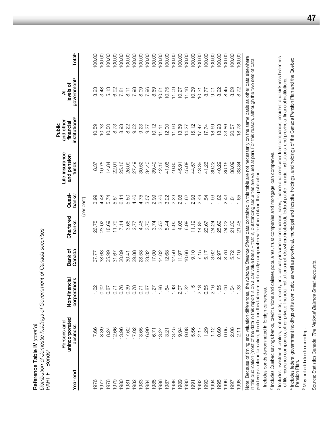Distribution of domestic holdings of Government of Canada securities *Distribution of domestic holdings of Government of Canada securities* Reference Table IV (cont'd) **Reference Table IV** *(cont'd)*

Total<sup>5</sup> 00.00 00.00 00.00 00.00 00.00 00.00  $00.00$ 00.00 00.00 00.00 00.00 00.00 00.00 00.00 00.00 00.00 00.00 00.00 00.00 00.00 **Year end business corporations Canada banks banks**2 **funds institutions**3 **government**4 **Total**5 1976 7.66 1.62 37.77 26.75 3.99 8.37 10.59 3.23 100.00 0.001 8.39 8.39 8.39 3.48 4.48 3.48 3.63 3.63 3.63 3.63 3.63 3.63 3.63 3.75 10.75 10.75 10.75 10.75 10.75 10.75 1978 8.24 0.87 35.99 18.69 5.74 14.84 10.50 5.13 100.00 1979 12.66 12.66 12.67 11.79 5.51 5.51 6.73 8.73 6.73 6.73 6.73 100.00 1980 13.96 13.96 13.96 14.14 6.14 12.14 6.16 10.00 10.00 10.00 10.00 10.00 10.00 1981 17.62 0.39 3.60 5.50 3.66 5.50 3.39 0.39 8.22 8.22 8.11 8.11 8.11 1982 17.02 17.02 29.88 29.88 29.88 20.78 17.7 2.77 2.78 0.78 20.00 0.00 17.28 17.49 2.749 2.749 2.749 2.749 2. 1983 13.65 0.71 28.58 4.46 4.75 30.52 9.23 8.09 100.00 1984 16.90 0.87 23.32 3.70 3.57 34.40 9.27 7.96 100.00 1985 1985 16.71 16.71 19.74 2.99 12.27 1.27 1.27 1.27 10.12 10.12 10.12 10.12 10.12 1986 13.24 13.24 1.86 1.402 1.405 1.46 3.46 1.42.16 1.11 1.11 1.61 10.61 1987 12.21 13.21 1.64 1.64 5.44 5.44 3.22 1.06 12.00 12.00 10.75 10.75 19.45 1.45 1.445 1.445 1.445 1.445 1.445 1.445 1.445 1.445 1.450 1.445 1.450 1.450 1.450 1.450 1.450 1.450 1.4 001001 2.07 101.989 19.94 2.07 2.07 100.001 100.001 100.001 100.001 100.001 100.001 100.001 100.001 100.00 100 00.001 11.27 14.47 14.47 14.47 14.47 14.47 14.47 14.47 14.47 14.47 14.47 14.47 14.47 14.47 14.47 14.47 14.47 1 1991 5.56 1.15 9.10 11.19 2.93 44.57 15.12 10.39 100.00 1992 2.17 2.18 7.15 14.85 2.49 43.39 17.47 10.31 100.00 1993 1.29 1.29 0.55 0.55 1.54 1.54 1.54 5.47 17.74 17.74 17.74 17.74 17.74 001001 1.01 39.80 1.01 1.22 2.16 2.16 2.17 2.17 2.17 3.023 3.023 3.023 3.023 3.024 2.17 2.17 2.17 2. government<sup>4</sup> levels of **unincorporated Non-financial Bank of Chartered Quasi- and pension financial levels of** 3.23  $3.48$ 5.13 6.92 7.98 8.09 7.96 8.69 10.75 11.09  $11.10$ 10.39 8.77 8.22  $7.81$  $\overline{6}$ . 1  $10.61$ 10.27 10.31  $9.01$ ₹ **Persons and Life insurance and other All** institutions<sup>®</sup> and other financial **Public**  $15.12$ 10.33 10.50 8.73 8.93 8.22  $9.62$  $9.23$ 9.27 10.12 12.00  $11.60$ 13.69 14.27  $17.47$  $17.74$ 18.69 18.93  $0.59$  $11.11$ Life insurance and pension 25.16 26.09 27.49 30.52 34.40 39.49 42.16 41.06 40.80 45.08 43.39 41.26 39.22 40.29 10.75 14.84 45.91 44.57 funds 8.37 22.01 Quasi-3.46 2.23 2.08 2.49 4.48  $6.14$ 5.50 4.46 4.75 2.99 3.22 1.62 2.93  $1.93$ 1.82 banks 3.99 5.74 5.51 3.57 1.54 (per cent) Chartered 4.46 3.53 6.90 4.06 6.98  $1.19$ banks 26.75 23.02 18.69 11.79 7.14 3.66 2.77 3.70  $3.74$ 5.44 14.85 23.67 24.24 25.62 Bank of<br>Canada 38.63 30.09 29.88 28.58 23.32 17.00 14.02 12.68 12.50  $11.97$ 10.66  $0.10$ 7.15 5.17 3.62 2.97 37.77 35.99  $31.67$ 30.41 Non-financial corporations 0.76 0.39 0.78 1.86 1.64 1.43  $1.22$  $1.15$  $2.18$ 0.55 2.16 1.55 0.92  $0.87$  $0.71$  $0.71$  $0.87$  $1.27$ 2.07  $.62$ unincorporated Persons and business 12.66 13.65 16.90 13.24 13.45 9.94 9.08 5.56  $2.17$ 1.29  $1.12$ 0.60 7.66 8.39 8.24 13.96 17.62 17.02 16.71 13.21 PART F - Bonds PART F – Bonds1 Year end 1986 1988 1989 1990 1992 1993 1995 1982 1983 1984 1985 1987 1994 1976 1978 1979 1980 1981 1991 1977

Note: Because of timing and valuation differences, the National Balance Sheet data contained in this table are not necessarily on the same basis as other data elsewhere Note: Because of timing and valuation differences, the *National Balance Sheet* data contained in this table are not necessarily on the same basis as other data elsewhere in this publication (most of the data in this report is on a par value basis – that is, outstanding securities are valued at par). For this reason, although the two sets of data<br>yield very similar information, the data in in this publication (most of the data in this report is on a par value basis – that is, outstanding securities are valued at par). For this reason, although the two sets of data yield very similar information, the data in this table are not strictly comparable with other data in this publication.

1995 22.9 1.55 1.55 2.97 2.97 2.97 1.82 1.82 1.82 1.83 18.93 18.92 8.22 100.00 1996 0.05 0.05 1.06 2.472 24.22 3.43 3.45 2.436 2.3.86 2.45 8.45 1997 2.08 1.54 5.72 21.30 1.81 38.09 20.57 8.89 100.00 1998 2.11 2.11 2.11 1.33 1.33 1.48 1.65 1.65 1.65 1.878 18.72 1.872 1.272

00.00 00.00 100.00

8.45

23.86

36.16

2.43

24.22 21.30

3.76

1.06

0.05

1996 1997 1998

2.08  $2.11$ 

<u>rò</u>

38.09 38.84

1.65

21.48

7.10

 $1.33$ 

5.72

 $\overline{8}$ 

8.72

18.78

20.57

8.89

<sup>1</sup> Includes bonds denominated in foreign currencies. <sup>1</sup> Includes bonds denominated in foreign currencies. <sup>2</sup> Includes Quebec savings banks, credit unions and caisses populaires, trust companies and mortgage loan companies. Includes Quebec savings banks, credit unions and caisses populaires, trust companies and mortgage loan companies.

<sup>3</sup> Includes investment dealers, mutual funds, property and casualty insurance companies, sales, finance and comsumer loan companies, accident and sickness branches Includes investment dealers, mutual funds, property and casualty insurance companies, sales, finance and consumer loan companies, accident and sickness branches of life insurance companies, other private financial institutions (not elsewhere included), federal public financial institutions, and provincial financial institutions. of life insurance companies, other private financial institutions (not elsewhere included), federal public financial institutions, and provincial financial institutions. <sup>4</sup> Includes federal government holdings of its own debt, as well as provincial, municipal and hospital holdings, and holdings of the Canada Pension Plan and the Quebec Includes federal government holdings of its own debt, as well as provincial, municipal and hospital holdings, and holdings of the Canada Pension Plan and the Quebec Pension Plan. Pension Plan.

<sup>5</sup> May not add due to rounding. May not add due to rounding.

Source: Statistics Canada, The National Balance Sheet Accounts. Source: Statistics Canada, *The National Balance Sheet Accounts.*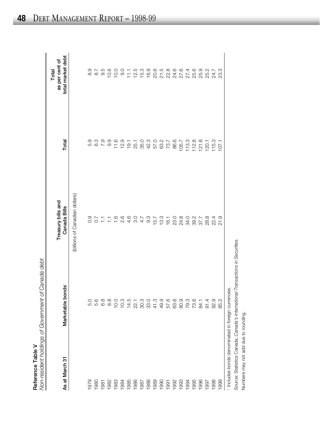|                                     | ξ<br>シン コンピーピー<br>.<br>המחמ"<br>ו-הואמרוחמאפוור |
|-------------------------------------|-------------------------------------------------|
|                                     | :<br>כ<br>$\frac{1}{2}$                         |
| ֚֚֚֚֚֚֚֚֚֚֚֚֚֚֚֚֚֚֚֚֡֡֡֓֓֡֡֡֡֡<br>۳ | on-resident holdings of L                       |

| Reference Table V | f Canada debt<br>Non-resident holdings of Government o |                                       |                        |                                              |
|-------------------|--------------------------------------------------------|---------------------------------------|------------------------|----------------------------------------------|
| As at March 31    | nds<br>Marketable bor                                  | Treasury bills and<br>Canada Bills    | Total                  | total market debt<br>as per cent of<br>Total |
|                   |                                                        | (billions of Canadian dollars)        |                        |                                              |
| 1979              | 5.0                                                    |                                       | 5.9                    |                                              |
| 1980              | 5.6                                                    |                                       |                        | 03 N 10<br>03 N 10<br>03 N                   |
| 1981              | 6.8                                                    |                                       | 6.7<br>0.7             |                                              |
| 1982              | $\frac{8}{8}$                                          |                                       | 9.9                    | 10.6                                         |
| 1983              | 10.0                                                   |                                       | 11.6                   | 10.0                                         |
| 1984              | 10.3                                                   |                                       | 12.9                   | O.<br>O                                      |
| 1985              | 14.5                                                   |                                       | 19.1                   | 11.1                                         |
| 1986              | 22.1                                                   | 3.0                                   |                        |                                              |
| 1987              | 30.3                                                   | 4.7                                   | 25.1<br>26.23<br>26.25 | $75.00$<br>$75.00$                           |
| 1988              | 33.0                                                   | $9.3$<br>15.7                         |                        |                                              |
| 1989              | 41.3                                                   |                                       |                        |                                              |
| 1990              | 49.9                                                   |                                       |                        |                                              |
| 1991              | 57.6                                                   | $13.3$<br>$16.1$                      | 63.7<br>73.7           |                                              |
| 1992              | 63.6                                                   |                                       | 86.6                   |                                              |
| 1993              | 80.9                                                   | 0 8 9 9 7<br>2 3 4 9 9 7<br>0 9 9 9 9 | 105.7                  |                                              |
| 1994              | 79.3                                                   |                                       | 113.3                  |                                              |
| 1995              | 73.6                                                   |                                       | 112.8                  | 27.4<br>25.6                                 |
| 1996              | 84.1                                                   |                                       | 121.8                  | 25.9                                         |
| 1997              | 91.4                                                   | 28.3<br>22.4                          | 120.1                  | 25.2                                         |
| 1998              | 92.9                                                   |                                       | 115.3                  | 24.7                                         |
| 1999              | 85.3                                                   | 21.9                                  | 107.1                  | 23.3                                         |
|                   | 1 Includes bonds denominated in foreign currencies.    |                                       |                        |                                              |

Source: Statistics Canada, *Canada's International Transactions in Securities.*

Source: Statistics Canada, Canada's International Transactions in Securities.<br>Numbers may not add due to rounding.

Numbers may not add due to rounding.

DEBT MANAGEMENT REPORT – 1998-99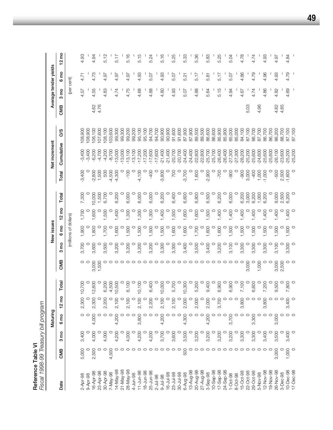| Fiscal 1998-99 Treasury bill program<br>Reference Table VI |       |         |                 |                 |         |         |             |                       |                 |         |          |               |         |      |                 |                       |                 |
|------------------------------------------------------------|-------|---------|-----------------|-----------------|---------|---------|-------------|-----------------------|-----------------|---------|----------|---------------|---------|------|-----------------|-----------------------|-----------------|
|                                                            |       |         | Maturing        |                 |         |         |             | New issues            |                 |         |          | Net increment |         |      |                 | Average tender yields |                 |
| Date                                                       | CMB   | 0m<br>ო | 6 <sub>mo</sub> | $12 \text{ mo}$ | Total   | CMB     | e<br>S<br>ო | 6 mo                  | $12 \text{ mo}$ | Total   | Total    | Cumulative    | So      | CMB  | 3 <sub>mo</sub> | 6 <sub>mo</sub>       | $12 \text{ mo}$ |
|                                                            |       |         |                 |                 |         |         |             | (millions of dollars) |                 |         |          |               |         |      | (per cent)      |                       |                 |
| 2-Apr-98                                                   | 5,000 | 3,400   |                 | 2,300           | 10,700  | $\circ$ | 3,700       | 1,900                 | 1,700           | 7,300   | $-3,400$ | $-3,400$      | 108,900 |      | 4.57            | 4.71                  | 4.93            |
| 9-Apr-98                                                   |       |         |                 |                 |         | $\circ$ | $\circ$     |                       |                 |         | 0        | $-3,400$      | 108,900 |      |                 |                       |                 |
| 16-Apr-98                                                  | 2,500 | 4,000   | 4,000           | 2,300           | 12,800  | 3,000   | 3,600       | 1,800                 | 1,600           | 10,000  | $-2,800$ | $-6,200$      | 106,100 | 4.62 | 4.55            | 4.73                  | 4.94            |
| 23-Apr-98                                                  |       |         |                 |                 |         | 1,500   | $\circ$     |                       |                 | 1,500   | 1,500    | $-4,700$      | 107,600 | 4.76 |                 |                       |                 |
| 30-Apr-98                                                  |       | 4,000   |                 | 2,200           | 6,200   |         | 3,500       | 1,700                 | 1,500           | 6,700   | 500      | $-4,200$      | 08,100  |      | 4.83            | 4.97                  | 5.12            |
| $7-May-98$                                                 | 4,500 |         | $\circ$         |                 | 4,500   | $\circ$ | $\circ$     | $\circ$               | $\circ$         |         | $-4,500$ | $-8,700$      | 03,600  |      |                 |                       |                 |
| 14-May-98                                                  |       | 4,200   | 4,200           | 2,100           | 10,500  | $\circ$ | 3,200       | 1,600                 | 1,400           | 6,200   | $-4,300$ | $-13,000$     | 99,300  |      | 4.74            | 4.97                  | 5.17            |
| $21 - May - 98$                                            |       |         |                 |                 |         | $\circ$ | $\circ$     | $\circ$               | $\circ$         | $\circ$ | O        | $-13,000$     | 99,300  |      |                 |                       |                 |
| 28-May-98                                                  |       | 4,000   |                 | 2,100           | 6,100   |         | 3,200       | 1,500                 | 1,300           | 6,000   | $-100$   | $-13,100$     | 99,200  |      | 4.75            | 4.97                  | 5.16            |
| 4-Jun-98                                                   |       |         | $\circ$         |                 |         | $\circ$ | $\circ$     | $\circ$               | $\circ$         |         | $\circ$  | $-13,100$     | 99,200  |      |                 |                       |                 |
| $11 - Jun - 98$                                            |       | 4,200   | 3,800           | 2,100           | 10,100  | $\circ$ | 3,200       | 1,500                 | 1,300           | 6,000   | $-4,100$ | $-17,200$     | 95,100  |      | 4.68            | 4.93                  | 5.15            |
| $18 - Jun - 98$                                            |       | $\circ$ |                 | $\circ$         |         | $\circ$ | $\circ$     | $\circ$               | $\circ$         | $\circ$ | $\circ$  | $-17,200$     | 95,100  |      |                 |                       |                 |
| 25-Jun-98                                                  |       | 4,200   |                 | 2,200           | 6,400   | $\circ$ | 3,200       | 1,500                 | 1,300           | 6,000   | $-400$   | $-17,600$     | 94,700  |      | 4.88            | 5.07                  | 5.24            |
| $2 - Jul - 98$                                             |       |         |                 |                 |         | $\circ$ | $\circ$     | $\circ$               | $\circ$         | $\circ$ | $\circ$  | $-17,600$     | 94,700  |      |                 |                       |                 |
| $9 - Jul - 98$                                             |       | 3,700   | 4,200           | 2,100           | 10,000  | $\circ$ | 3,300       | 1,500                 | 1,400           | 6,200   | $-3,800$ | $-21,400$     | 90,900  |      | 4.80            | 4.93                  | 5.16            |
| 16-Jul-98                                                  |       | $\circ$ |                 |                 |         | O       | $\circ$     | $\circ$               | $\circ$         | $\circ$ | $\circ$  | $-21,400$     | 90,900  |      |                 |                       |                 |
| $23 - Jul - 98$                                            |       | 3,600   | $\circ$         | 2,100           | 5,700   | $\circ$ | 3,300       | 1,600                 | 1,500           | 6,400   | 700      | $-20,700$     | 91,600  |      | 4.93            | 5.07                  | 5.25            |
| $30 - Jul - 98$                                            |       |         |                 | $\circ$         | $\circ$ | $\circ$ | $\circ$     | $\circ$               | $\circ$         | $\circ$ | $\circ$  | $-20,700$     | 91,600  |      |                 |                       |                 |
| 6-Aug-98                                                   | 500   | 3,500   | 4,300           | 2,000           | 10,300  | $\circ$ | 3,400       | 1,600                 | 1,600           | 6,600   | $-3,700$ | $-24,400$     | 87,900  |      | 5.07            | 5.21                  | 5.33            |
| 13-Aug-98                                                  |       | O       |                 | $\circ$         | $\circ$ | $\circ$ | $\circ$     | $\circ$               | $\circ$         | $\circ$ | $\circ$  | $-24,400$     | 87,900  |      |                 |                       |                 |
| 20-Aug-98                                                  |       | 3,200   | $\circ$         | 2,000           | 5,200   |         | 3,500       | 1,700                 | 1,600           | 6,800   | 1,600    | 22,800        | 89,500  |      | 4.88            | 5.17                  | 5.36            |
| 27-Aug-98                                                  |       | $\circ$ |                 | $\circ$         | $\circ$ |         | $\circ$     | $\circ$               | $\circ$         | $\circ$ | $\circ$  | $-22,800$     | 89,500  |      |                 |                       |                 |
| 3-Sep-98                                                   |       | 3,200   | 4,200           | 2,000           | 9,400   |         | 3,400       | 1,600                 | 1,500           | 6,500   | $-2,900$ | $-25,700$     | 86,600  |      | 5.64            | 5.81                  | 5.83            |
| $10 - \text{Sep-98}$                                       |       |         |                 |                 | $\circ$ |         | $\circ$     | $\circ$               | $\circ$         | $\circ$ | $\circ$  | 25,700        | 86,600  |      |                 |                       |                 |
| 17-Sep-98                                                  |       | 3,200   | $\circ$         | 3,700           | 6,900   |         | 3,200       | 1,600                 | 1,400           | 6,200   | $-700$   | $-26,400$     | 85,900  |      | 5.15            | 5.17                  | 5.25            |
| 24-Sep-98                                                  |       |         | $\circ$         |                 | $\circ$ |         | $\circ$     | $\circ$               | $\circ$         | $\circ$ | $\circ$  | $-26,400$     | 85,900  |      |                 |                       |                 |
| $1 - Oct - 98$                                             |       | 3,200   | 3,700           | $\circ$ $\circ$ | 6,900   |         | 3,100       | 1,500                 | 1,400           | 6,000   | -900     | $-27,300$     | 85,000  |      | 4.94            | 5.07                  | 5.04            |
| 8-Oct-98                                                   |       | $\circ$ |                 |                 | $\circ$ | O       | $\circ$     | $\circ$               | $\circ$         | $\circ$ | $\circ$  | $-27,300$     | 85,000  |      |                 |                       |                 |
| 15-Oct-98                                                  |       | 3,300   |                 | 3,800           | 7,100   | $\circ$ | 3,300       | 1,500                 | 1,400           | 6,200   | $-900$   | $-28,200$     | 84,100  |      | 4.67            | 4.86                  | 4.78            |
| 22-Oct-98                                                  |       |         | $\circ$         |                 | $\circ$ | 3,000   | $\circ$     | $\circ$               | $\circ$         | 3,000   | 3,000    | $-25,200$     | 87,100  | 5.03 |                 |                       |                 |
| 29-Oct-98                                                  |       | 3,300   | 3,300           | $\circ$         | 6,600   | $\circ$ | 3,300       | 1,500                 | 1,400           | 6,200   | $-400$   | $-25,600$     | 86,700  |      | 4.74            | 4.79                  | 4.74            |
| 5-Nov-98                                                   |       |         |                 | $\circ$         | $\circ$ | 1,000   | $\circ$     | $\circ$               | $\circ$         | 1,000   | 1,000    | $-24,600$     | 87,700  | 4.96 |                 |                       |                 |
| 12-Nov-98                                                  |       | 3,400   |                 | 3,800           | 7,200   | $\circ$ | 3,300       | 1,500                 | 1,400           | 6,200   | $-1,000$ | $-25,600$     | 86,700  |      | 4.86            | 4.96                  | 4.93            |
| 19-Nov-98                                                  |       |         |                 |                 | $\circ$ | $\circ$ | $\circ$     | $\circ$               | $\circ$         | $\circ$ | $\circ$  | $-25,600$     | 86,700  |      |                 |                       |                 |
| 26-Nov-98                                                  | 3,000 | 3,500   | 3,000           | $\circ$         | 9,500   | 3,000   | 3,100       | 1,500                 | 1,400           | 9,000   | $-500$   | $-26,100$     | 86,200  | 4.82 | 4.82            | 4.93                  | 4.97            |
| 3-Dec-98                                                   |       |         |                 |                 | $\circ$ | 2,500   | $\circ$     |                       | $\circ$         | 2,500   | 2,500    | $-23,600$     | 88,700  | 4.85 |                 |                       |                 |
| $10 - Dec-98$                                              | 1,000 | 3,400   |                 | 3,400           | 7,800   | $\circ$ | 3,300       | 1,500                 | 1,400           | 6,200   | $-1,600$ | $-25,200$     | 87,100  |      | 4.69            | 4.79                  | 4.84            |
| 17-Dec-98                                                  |       |         |                 |                 | $\circ$ |         | $\circ$     |                       | $\circ$         | $\circ$ | $\circ$  | $-25,200$     | 87,100  |      |                 |                       |                 |

**49**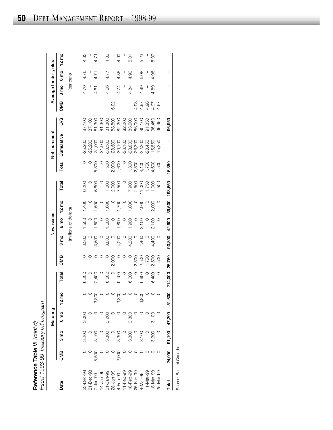| Fiscal 1998-99 Treasury bill program<br>Reference Table VI $\langle \text{cont'}d\rangle$ |         |                  |                 |                 |         |        |         |                       |                 |                         |           |               |                  |      |        |                       |                 |
|-------------------------------------------------------------------------------------------|---------|------------------|-----------------|-----------------|---------|--------|---------|-----------------------|-----------------|-------------------------|-----------|---------------|------------------|------|--------|-----------------------|-----------------|
|                                                                                           |         |                  | Maturing        |                 |         |        |         | New issues            |                 |                         |           | Net increment |                  |      |        | Average tender yields |                 |
| Date                                                                                      | CMB     | $3 \, \text{mo}$ | 6 <sub>mo</sub> | $12 \text{ mo}$ | Total   | CMB    | ea<br>ო | 6 mo                  | $12 \text{ mo}$ | Total                   | Total     | Cumulative    | So               | CMB  | g<br>ౚ | 6 mo                  | $12 \text{ mo}$ |
|                                                                                           |         |                  |                 |                 |         |        |         | (millions of dollars) |                 |                         |           |               |                  |      |        | (per cent)            |                 |
| 23-Dec-98                                                                                 |         | 3,200            | 3,000           |                 | 6,200   |        | 3,300   | 1,500                 | 1,400           | 6,200                   |           | $-25,200$     | 87,100           |      | 4.70   | 4.76                  | 4.83            |
| 31-Dec-98                                                                                 |         |                  |                 |                 |         |        |         |                       |                 |                         |           | 25,200        | 87,100           |      |        |                       |                 |
| 7-Jan-99                                                                                  | 5,500   | 3,100            |                 | 3,800           | 12,400  |        | 3,600   | 1,500                 | 1,500           | 6,600                   | 800<br>ယ့ | $-31,000$     | 81,300           |      | 4.61   | 4.71                  | 4.71            |
| $14 - Jan-99$                                                                             |         |                  |                 |                 |         |        |         |                       |                 |                         |           | $-31,000$     | 81,300           |      |        |                       |                 |
| 21-Jan-99                                                                                 |         | 3,300            | 3,200           |                 | 6,500   |        | 3,800   | 1,600                 | 1,600           |                         | 500       | $-30,500$     | 81,800           |      | 4.66   | 4.77                  | 4.86            |
| 28-Jan-99                                                                                 |         |                  |                 |                 |         | 2,000  | $\circ$ | $\circ$               |                 | 7,000<br>2,000<br>7,500 | 2,000     | $-28,500$     | 83,800           | 5.02 |        | I                     |                 |
| 4-Feb-99                                                                                  | 2,00C   | 3,300            |                 | 3,800           | 9,100   |        | 4,000   | 1,800                 | 1,700           |                         | $-1,600$  | $-30,100$     | 82,200           |      | 4.74   | 4.85                  | 4.90            |
| $11 - Feb - 99$                                                                           |         |                  |                 |                 |         |        | $\circ$ |                       |                 |                         |           | $-30,100$     |                  |      |        | I                     |                 |
| 18-Feb-99                                                                                 |         | 3,300            | 3,300           |                 | 6,600   |        | 4,200   | 1,900                 | 1,800           | 7,900                   | 1,300     | $-28,800$     | 82,200<br>83,500 |      | 4.84   | 4.93                  | 5.01            |
| 25-Feb-99                                                                                 |         |                  |                 |                 |         | 2,500  | $\circ$ |                       |                 | 2,500                   | 2,500     | $-26,300$     | 86,000           | 4.93 |        | I                     |                 |
| 4-Mar-99                                                                                  |         | 3,100            |                 | 3,800           | 6,900   | 2,500  | 4,400   | 2,100                 | 2,000           | 1,000                   | 4,100     | $-22,200$     | 90,100           | 4.97 | 4.99   | 5.08                  | 5.23            |
| 11-Mar-99                                                                                 |         |                  |                 |                 |         | 1,750  |         |                       |                 | 1,750                   | 1,750     | $-20,450$     | 91,850           | 4.98 |        | I                     |                 |
| 18-Mar-99                                                                                 |         | 3,300            | 3,100           |                 | 6,400   | 2,500  | 4,400   | 2,100                 | 2,000           | 11,000                  | 4,600     | 15,850        | 96,450           | 4.97 | 4.89   | 4.98                  | 5.07            |
| 25-Mar-99                                                                                 | $\circ$ |                  |                 |                 |         | 500    |         |                       |                 | 500                     | 500       | $-15,350$     | 96,950           | 4.97 | I      | I                     |                 |
| Total                                                                                     | 24,000  | 91,100           | 47,300          | 51,600          | 214,000 | 25,750 | 90,800  | 42,600                | 39,500          | 198,650                 | $-15,350$ | ı             | 96,950           |      | ı      | ı                     | ı               |
|                                                                                           |         |                  |                 |                 |         |        |         |                       |                 |                         |           |               |                  |      |        |                       |                 |

Source: Bank of Canada. Source: Bank of Canada.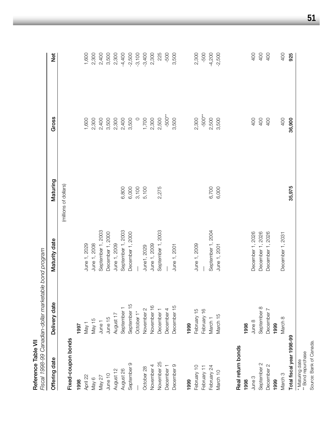| Reference Table VII       | Fiscal 1998-99 Canadian-dollar marketable bond program |                   |                       |          |                 |
|---------------------------|--------------------------------------------------------|-------------------|-----------------------|----------|-----------------|
| Offering date             | Delivery date                                          | Maturity date     | Maturing              | Gross    | <b>b</b><br>Net |
|                           |                                                        |                   | (millions of dollars) |          |                 |
| Fixed-coupon bonds        |                                                        |                   |                       |          |                 |
| 1998                      | 1997                                                   |                   |                       |          |                 |
| April 22                  | May 1                                                  | June 1, 2029      |                       | 1,600    | 1,600           |
| May 6                     | May 15                                                 | June 1, 2008      |                       | 2,300    | 2,300           |
| May 27                    | June 1                                                 | September 1, 2003 |                       | 2,400    | 2,400           |
| June 10                   | June 15                                                | December 1, 2000  |                       | 3,500    | 3,500           |
| August 12                 | August 17                                              | June 1, 2009      |                       | 2,300    | 2,300           |
| August 26                 | September                                              | September 1, 2003 | 6,800                 | 2,400    | $-4,400$        |
| September 9               | September 15                                           | December 1, 2000  | 6,000                 | 3,500    | $-2,500$        |
|                           | October 1*                                             |                   | 3,100                 | $\circ$  | $-3,100$        |
| October 28                | November 2                                             | June1, 2029       | 5,100                 | 1,700    | $-3,400$        |
| November 4                | November 16                                            | June 1, 2009      |                       | 2,300    | 2,300           |
| November 25               | December 1                                             | September 1, 2003 | 2,275                 | 2,500    | 225             |
| December <sub>1</sub>     | December 4                                             |                   |                       | $-500**$ | -500            |
| December 9                | December 15                                            | June 1, 2001      |                       | 3,500    | 3,500           |
| 1999                      | 1999                                                   |                   |                       |          |                 |
| February 10               | February 15                                            | June 1, 2009      |                       | 2,300    | 2,300           |
| February 11               | February 16                                            |                   |                       | $-500**$ | -500            |
| February 24               | March <sub>1</sub>                                     | September 1, 2004 | 6,700                 | 2,500    | $-4,200$        |
| March 10                  | March 15                                               | June 1, 2001      | 6,000                 | 3,500    | $-2,500$        |
| Real return bonds         |                                                        |                   |                       |          |                 |
| 1998                      | 1998                                                   |                   |                       |          |                 |
| June 3                    | June 8                                                 | December 1, 2026  |                       | 400      | 400             |
| September 2               | September 8                                            | December 1, 2026  |                       | 400      | 400             |
| December 2                | December 7                                             | December 1, 2026  |                       | 400      | 400             |
| 1999                      | 1999                                                   |                   |                       |          |                 |
| March <sub>3</sub>        | March 8                                                | December 1, 2031  |                       | 400      | 400             |
| Total fiscal year 1998-99 |                                                        |                   | 35,975                | 36,900   | 925             |
| * Maturing date           |                                                        |                   |                       |          |                 |

**51**

watuning uate<br>\*\* Bond repurchase<br>Source: Bank of Canada. Source: Bank of Canada.\*\* Bond repurchase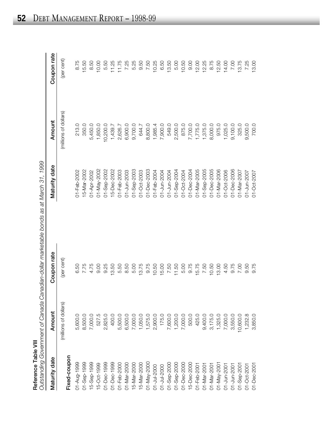|                         | Outstanding Government of Canada Canadian-dollar marketable bonds as at March 31, 1999 |
|-------------------------|----------------------------------------------------------------------------------------|
| ference Table VIII<br>í |                                                                                        |

| Maturity date              | Amount                | Coupon rate | Maturity date   | Amount                | Coupon rate |
|----------------------------|-----------------------|-------------|-----------------|-----------------------|-------------|
| Fixed-coupon               | (millions of dollars) | (per cent)  |                 | (millions of dollars) | (per cent)  |
| 01-Aug-1999                | 5,600.0               | 6.50        | 01-Feb-2002     | 213.0                 | 8.75        |
| 1-Sep-1999                 | 8,500.0               | 7.75        | 15-Mar-2002     | 350.0                 | 15.50       |
| 5-Sep-1999                 | 7,000.0               | 4.75        | 01-Apr-2002     | 5,450.0               | 8.50        |
| 5-Oct-1999                 | 527.5                 | 9.00        | 01-May-2002     | 1,850.0               | 10.00       |
| 01-Dec-1999                | 2,825.0               | 9.25        | 01-Sep-2002     | 10,200.0              | 5.50        |
| 01-Dec-1999                | 400.0                 | 13.50       | 15-Dec-2002     | 1,439.7               | 11.25       |
| 01-Feb-2000                | 5,500.0               | 5.50        | 01-Feb-2003     | 2,626.7               | 11.75       |
| $1 - \text{Mar-2000}$      | 6,500.0               | 8.50        | 01-Jun-2003     | 6,900.0               | 7.25        |
| 5-Mar-2000                 | 7,000.0               | 5.00        | 01-Sep-2003     | 9,700.0               | 5.25        |
| 5-Mar-2000                 | 1,050.0               | 13.75       | 01-Oct-2003     | 644.7                 | 9.50        |
| 01-May-2000                | 1,575.0               | 9.75        | 01-Dec-2003     | 8,800.0               | 7.50        |
|                            | 2,900.0               | 10.50       | 01-Feb-2004     | 1,985.4               | 10.25       |
| 01-Jul-2000<br>01-Jul-2000 | 175.0                 | 15.00       | 01-Jun-2004     | 7,900.0               | 6.50        |
| $-5ep-2000$                | 7,600.0               | 7.50        | 01-Jun-2004     | 549.0                 | 13.50       |
| 01-Sep-2000                | 1,200.0               | 11.50       | 01-Sep-2004     | 2,500.0               | 5.00        |
| 01-Dec-2000                | 7,000.0               | 5.00        | 01-Oct-2004     | 875.0                 | 10.50       |
| 5-Dec-2000                 | 500.0                 | 9.75        | 01-Dec-2004     | 7,700.0               | 0.00        |
| 01-Feb-2001                | 425.0                 | 15.75       | 01-Mar-2005     | 1,775.0               | 12.00       |
| 01-Mar-2001                | 9,400.0               | 7.50        | 01-Sep-2005     | 1,375.0               | 12.25       |
| 01-Mar-2001                | 3,175.0               | 10.50       | $01 - Dec-2005$ | 8,000.0               | 8.75        |
|                            | 1,325.0               | 13.00       | 01-Mar-2006     | 975.0                 | 12.50       |
| 01-May-2001<br>01-Jun-2001 | 7,000.0               | 4.50        | 01-Oct-2006     | 1,025.0               | 14.00       |
| 01-Jun-2001                | 3,550.0               | 9.75        | 01-Dec-2006     | 9,100.0               | 7.00        |
| 01-Sep-2001                | 10,600.0              | 7.00        | 01-Mar-2007     | 325.0                 | 13.75       |
| 01-Oct-2001                | 1,232.8               | 9.50        | 01-Jun-2007     | 9,500.0               | 7.25        |
| 01-Dec-2001                | 3,850.0               | 9.75        | 01-Oct-2007     | 700.0                 | 13.00       |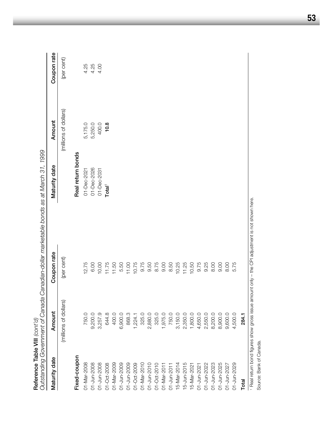|                            |                       |                                                                                                 | Outstanding Government of Canada Canadian-dollar marketable bonds as at March 31, 1999 |                       |             |
|----------------------------|-----------------------|-------------------------------------------------------------------------------------------------|----------------------------------------------------------------------------------------|-----------------------|-------------|
| Maturity date              | Amount                | Coupon rate                                                                                     | Maturity date                                                                          | Amount                | Coupon rate |
|                            | (millions of dollars) | (per cent)                                                                                      |                                                                                        | (millions of dollars) | (per cent)  |
| Fixed-coupon               |                       |                                                                                                 | Real return bonds                                                                      |                       |             |
| 01-Mar-2008                | 750.0                 | 12.75                                                                                           | 01-Dec-2021                                                                            | 5,175.0               | 4.25        |
| 01-Jun-2008                | 9,200.0               | 6.00                                                                                            | 01-Dec-2026                                                                            | 5,250.0               | 4.25        |
| 01-Jun-2008                | 3,257.9               | 10.00                                                                                           | 01-Dec-2031                                                                            | 400.0                 | 4.00        |
| 01-Oct-2008                | 644.8                 | 11.75                                                                                           | Total <sup>1</sup>                                                                     | 10.8                  |             |
| 01-Mar-2009                | 400.0                 | 11.50                                                                                           |                                                                                        |                       |             |
| 01-Jun-2009                | 6,900.0               | 5.50                                                                                            |                                                                                        |                       |             |
| 01-Jun-2009                | 868.3                 | 11.00                                                                                           |                                                                                        |                       |             |
| 01-Oct-2009                | 1,224.1               | 10.75                                                                                           |                                                                                        |                       |             |
| 01-Mar-2010<br>01-Jun-2010 | 325.0                 | 9.75                                                                                            |                                                                                        |                       |             |
|                            | 2,880.0               | 9.50                                                                                            |                                                                                        |                       |             |
| 01-Oct-2010                | 325.0                 | 8.75                                                                                            |                                                                                        |                       |             |
| $01 - \text{Mar-2011}$     | 1,975.0               | 9.00                                                                                            |                                                                                        |                       |             |
| $01 - Jun-2011$            | 750.0                 | 8.50                                                                                            |                                                                                        |                       |             |
| 15-Mar-2014                | 3,150.0               | 10.25                                                                                           |                                                                                        |                       |             |
| 15-Jun-2015                | 2,350.0               | 11.25                                                                                           |                                                                                        |                       |             |
| 15-Mar-2021                | 1,800.0               | 10.50                                                                                           |                                                                                        |                       |             |
| $01 - Jun - 202$           | 4,650.0               | 9.75                                                                                            |                                                                                        |                       |             |
| 01-Jun-2022                | 2,550.0               | 9.25                                                                                            |                                                                                        |                       |             |
| 01-Jun-2023                | 8,200.0               | 8.00                                                                                            |                                                                                        |                       |             |
| 01-Jun-2025                | 8,900.0               | 9.00                                                                                            |                                                                                        |                       |             |
| 01-Jun-2027                | 9,600.0               | 8.00                                                                                            |                                                                                        |                       |             |
| 01-Jun-2029                | 4,500.0               | 5.75                                                                                            |                                                                                        |                       |             |
| Total                      | 284.1                 |                                                                                                 |                                                                                        |                       |             |
|                            |                       | · Real return bond figures show gross issue amount only - the CPI adjustment is not shown here. |                                                                                        |                       |             |

Reference Table VIII (cont'd) **Reference Table VIII** *(cont'd)*

Source: Bank of Canada.

Source: Bank of Canada.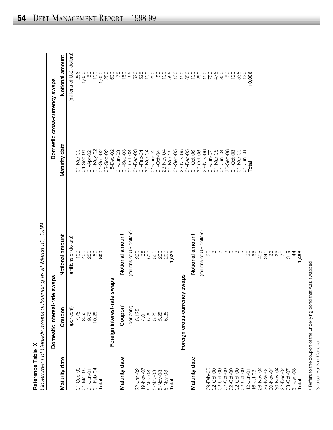| Reference Table IX | Government of Canada swaps outstar | nding as at March 31, 1999 |                            |                               |
|--------------------|------------------------------------|----------------------------|----------------------------|-------------------------------|
|                    | Domestic interest-rate             | swaps                      |                            | Domestic cross-currency swaps |
| Maturity date      | Coupon'                            | Notional amount            | Maturity date              | Notional amount               |
|                    | (per cent)                         | (millions of dollars)      |                            | (millions of U.S. dollars)    |
| 01-Sep-99          | 7.75                               | <b>COL</b>                 | 01-Mar-00                  | 286                           |
| 01-Mar-00          | 8.50<br>8.75<br>10.25              | 400                        | 04-Sep-01                  | 1,000                         |
| $01 - Jun-01$      |                                    | 250                        | 01-Apr-02                  | SO                            |
| 01-Feb-04          |                                    | 50                         | 01-May-02                  | $\overline{100}$              |
| Total              |                                    | 800                        | $01 - \text{Sep-02}$       | 1,000                         |
|                    |                                    |                            | 03-Sep-02                  | 250                           |
|                    | Foreign interest-rate              | swaps                      | $15 - Dec - 02$            | 600                           |
| Maturity date      | Coupon                             | Notional amount            | $01 - Jun - 03$            | 75                            |
|                    |                                    |                            | $01 - \text{Sep-03}$       | 150                           |
|                    | (per cent)                         | (millions of US dollars)   | $01 - Oct - 03$            | 65                            |
| 22-Jan-02          | 5.125                              | 300                        | $01-Dec-03$                | 520                           |
| 19-Nov-07          | 4.0                                | 25                         | 01-Feb-04                  | 525                           |
| 5-Nov-08           | 5.25                               | 500                        | 30-Mar-04                  | 100                           |
| 5-Nov-08           |                                    | 500                        | 01-Jun-04                  | 250                           |
| 5-Nov-08           | 88<br>888<br>688                   | 200                        | 01-Oct-04                  | SO                            |
| 5-Nov-08           |                                    | 200                        | 23-Nov-04                  | 100                           |
| Total              |                                    | 1,525                      | $01 -$ Sep-05<br>01-Mar-05 | 565<br>100                    |
|                    |                                    |                            | 23-Nov-05                  | 150                           |
|                    | Foreign cross-currency             | swaps                      | $01 - Dec - 05$            | 650                           |
| Maturity date      |                                    | Notional amount            | 01-Oct-06                  | 100                           |
|                    |                                    | (millions of US dollars)   | 30-Oct-06                  | 250                           |
| 09-Feb-00          |                                    | 26                         | 23-Nov-06                  | 150                           |
| 02-Oct-00          |                                    | က                          | $01 - Jun - 07$            | 750                           |
| 02-Oct-00          |                                    |                            | $01 - Max - OB$            | 475                           |
| 02-Oct-00          |                                    | mmmmm                      | $01 - Jun - 08$            | 800                           |
| 02-Oct-00          |                                    |                            | 30-Sep-08                  | SO                            |
| 02-Oct-00          |                                    |                            | 01-Oct-08                  | 190                           |
| 02-Oct-00          |                                    |                            | $01 - \text{Mar} - 09$     | 535                           |
| $12 - Jun - 01$    |                                    | 26                         | 01-Jun-09                  | 120                           |
| $16 -$ Jul-03      |                                    | 65                         | Total                      | 10,006                        |
| 26-Nov-04          |                                    | 495                        |                            |                               |
| 26-Nov-04          |                                    | 341                        |                            |                               |
| 30-Nov-04          |                                    | 63                         |                            |                               |
| 30-Nov-04          |                                    |                            |                            |                               |
| 22-Dec-04          |                                    | 25<br>76                   |                            |                               |
| 03-Oct-07          |                                    | 319                        |                            |                               |
| $31 - Jan - 08$    |                                    | 4                          |                            |                               |
| Total              |                                    | 1,498                      |                            |                               |

Source: Bank of Canada.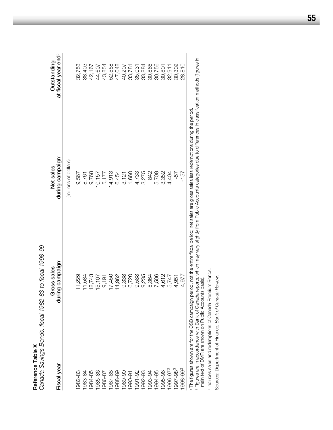| Reference Table X    | Canada Savings Bonds, fiscal 1982-83 to fiscal 1998-99 |                                                                                                                                           |                                                |
|----------------------|--------------------------------------------------------|-------------------------------------------------------------------------------------------------------------------------------------------|------------------------------------------------|
| Fiscal year          | during campaign<br>Gross sales                         | during campaign'<br>Net sales                                                                                                             | at fiscal year end <sup>2</sup><br>Outstanding |
|                      |                                                        | (millions of dollars)                                                                                                                     |                                                |
| 982-83               | 1,229                                                  | 9,567                                                                                                                                     | 32,753                                         |
| 983-84               | 1,584                                                  | 8,761                                                                                                                                     | 38,403                                         |
| 984-85               | 2,743                                                  | 9,768                                                                                                                                     | 42,167                                         |
| 985-86               | 15,107                                                 | 10,157                                                                                                                                    | 44,607                                         |
| 18-986               | 9,191                                                  | 5,177                                                                                                                                     | 43,854                                         |
| 987-88               | 7,450                                                  | 14,913                                                                                                                                    | 52,558                                         |
| 988-89               | 4,962                                                  | 6,454                                                                                                                                     | 47,048                                         |
| 06-686               | 9,338                                                  | 3,121                                                                                                                                     | 40,207                                         |
| 990-91               | 6,720                                                  | 1,660                                                                                                                                     | 33,781                                         |
| $991 - 92$           | 9,588                                                  |                                                                                                                                           | 35,031                                         |
| 1992-93              | 9,235                                                  | 4,733<br>3,275                                                                                                                            | 33,884                                         |
| 993-94               | 5,364                                                  | 842                                                                                                                                       | 30,866                                         |
| 994-95               | 7,506                                                  | 5,709                                                                                                                                     | 30,756                                         |
| 995-96               | 4,612                                                  | 3,352                                                                                                                                     | 30,801                                         |
| 996-973              | 5,747                                                  | 4,404                                                                                                                                     | 32,911                                         |
| 1997-98 <sup>3</sup> | 4,951                                                  | -57                                                                                                                                       | 30,302                                         |
| 1998-993             | 4,977                                                  | $-157$                                                                                                                                    | 28,810                                         |
|                      |                                                        | 1 The foures shown are for the CSB campaign period, not the entire fiscal period; net sales are gross sales redemptions during the period |                                                |

 $\sim$ The figures shown are for the CSB campaign period, not the entire fiscal period; net sales are gross sales less redemptions during the period.

 Figures are in accordance with Bank of Canada reports, which may vary slightly from Public Accounts categories due to differences in classification methods (figures in main text of DMR are shown on Public Accounts basis).

<sup>3</sup> Includes sales and redemptions of Canada Premium Bonds. Includes sales and redemptions of Canada Premium Bonds.

Sources: Department of Finance, Bank of Canada Review. Sources: Department of Finance, *Bank of Canada Review.*